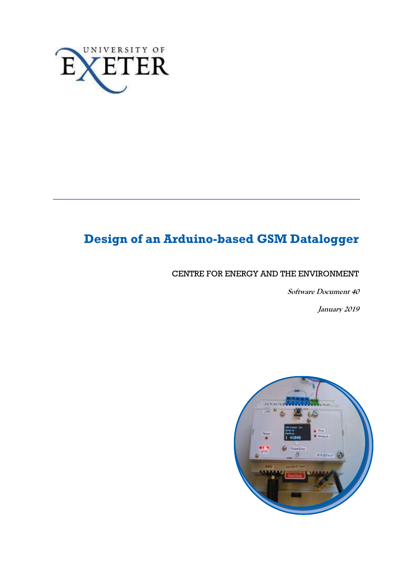

# **Design of an Arduino-based GSM Datalogger**

## CENTRE FOR ENERGY AND THE ENVIRONMENT

**Software Document 40**

**January 2019**

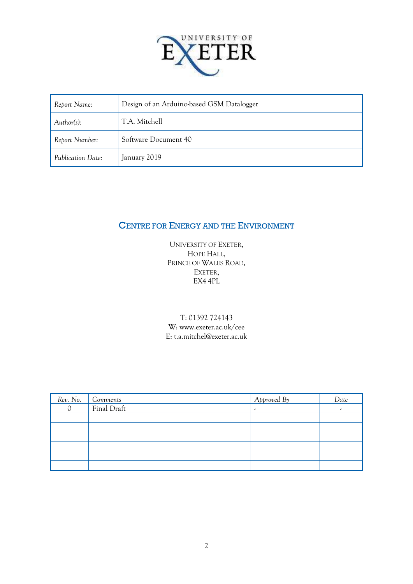

| Report Name:      | Design of an Arduino-based GSM Datalogger |  |  |  |  |
|-------------------|-------------------------------------------|--|--|--|--|
| Author(s):        | T.A. Mitchell                             |  |  |  |  |
| Report Number:    | Software Document 40                      |  |  |  |  |
| Publication Date: | January 2019                              |  |  |  |  |

## CENTRE FOR ENERGY AND THE ENVIRONMENT

UNIVERSITY OF EXETER, HOPE HALL, PRINCE OF WALES ROAD, EXETER, EX4 4PL

T: 01392 724143 W: www.exeter.ac.uk/cee E: t.a.mitchel@exeter.ac.uk

| Rev. No. | Comments    | Approved By | Date |
|----------|-------------|-------------|------|
|          | Final Draft | ۔           | ٠    |
|          |             |             |      |
|          |             |             |      |
|          |             |             |      |
|          |             |             |      |
|          |             |             |      |
|          |             |             |      |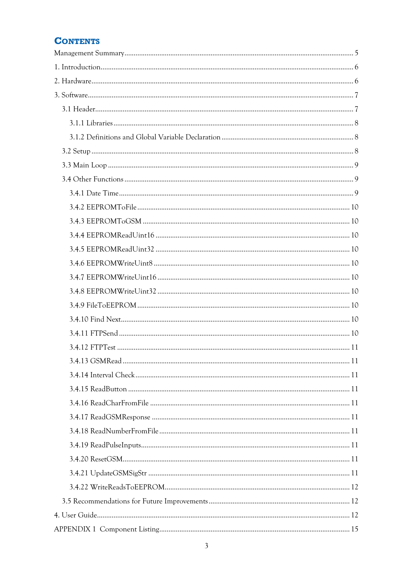## **CONTENTS**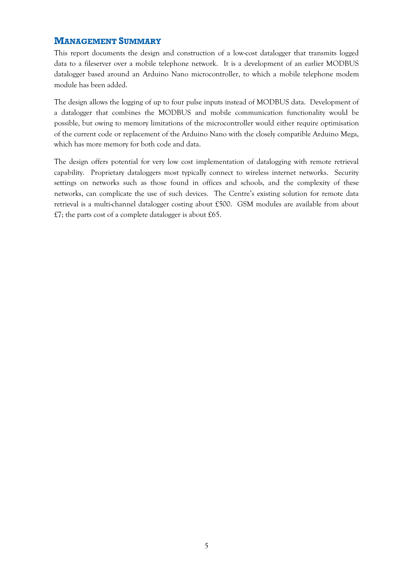## <span id="page-4-0"></span>**MANAGEMENT SUMMARY**

This report documents the design and construction of a low-cost datalogger that transmits logged data to a fileserver over a mobile telephone network. It is a development of an earlier MODBUS datalogger based around an Arduino Nano microcontroller, to which a mobile telephone modem module has been added.

The design allows the logging of up to four pulse inputs instead of MODBUS data. Development of a datalogger that combines the MODBUS and mobile communication functionality would be possible, but owing to memory limitations of the microcontroller would either require optimisation of the current code or replacement of the Arduino Nano with the closely compatible Arduino Mega, which has more memory for both code and data.

The design offers potential for very low cost implementation of datalogging with remote retrieval capability. Proprietary dataloggers most typically connect to wireless internet networks. Security settings on networks such as those found in offices and schools, and the complexity of these networks, can complicate the use of such devices. The Centre's existing solution for remote data retrieval is a multi-channel datalogger costing about £500. GSM modules are available from about £7; the parts cost of a complete datalogger is about £65.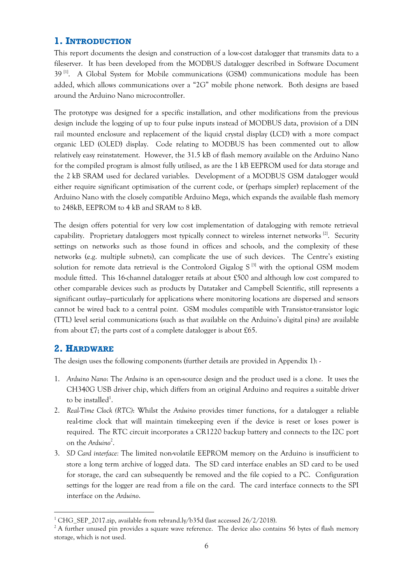## <span id="page-5-0"></span>**1. INTRODUCTION**

This report documents the design and construction of a low-cost datalogger that transmits data to a fileserver. It has been developed from the MODBUS datalogger described in Software Document 39<sup>[1]</sup>. A Global System for Mobile communications (GSM) communications module has been added, which allows communications over a "2G" mobile phone network. Both designs are based around the Arduino Nano microcontroller.

The prototype was designed for a specific installation, and other modifications from the previous design include the logging of up to four pulse inputs instead of MODBUS data, provision of a DIN rail mounted enclosure and replacement of the liquid crystal display (LCD) with a more compact organic LED (OLED) display. Code relating to MODBUS has been commented out to allow relatively easy reinstatement. However, the 31.5 kB of flash memory available on the Arduino Nano for the compiled program is almost fully utilised, as are the 1 kB EEPROM used for data storage and the 2 kB SRAM used for declared variables. Development of a MODBUS GSM datalogger would either require significant optimisation of the current code, or (perhaps simpler) replacement of the Arduino Nano with the closely compatible Arduino Mega, which expands the available flash memory to 248kB, EEPROM to 4 kB and SRAM to 8 kB.

The design offers potential for very low cost implementation of datalogging with remote retrieval capability. Proprietary dataloggers most typically connect to wireless internet networks<sup>[2]</sup>. Security settings on networks such as those found in offices and schools, and the complexity of these networks (e.g. multiple subnets), can complicate the use of such devices. The Centre's existing solution for remote data retrieval is the Controlord Gigalog  $S<sup>[3]</sup>$  with the optional GSM modem module fitted. This 16-channel datalogger retails at about £500 and although low cost compared to other comparable devices such as products by Datataker and Campbell Scientific, still represents a significant outlay—particularly for applications where monitoring locations are dispersed and sensors cannot be wired back to a central point. GSM modules compatible with Transistor-transistor logic (TTL) level serial communications (such as that available on the Arduino's digital pins) are available from about £7; the parts cost of a complete datalogger is about £65.

## <span id="page-5-1"></span>**2. HARDWARE**

<u>.</u>

The design uses the following components (further details are provided in Appendix 1): -

- 1. *Arduino Nano*: The *Arduino* is an open-source design and the product used is a clone. It uses the CH340G USB driver chip, which differs from an original Arduino and requires a suitable driver to be installed<sup>1</sup>.
- 2. *Real-Time Clock (RTC)*: Whilst the *Arduino* provides timer functions, for a datalogger a reliable real-time clock that will maintain timekeeping even if the device is reset or loses power is required. The RTC circuit incorporates a CR1220 backup battery and connects to the I2C port on the Arduino<sup>2</sup>.
- 3. *SD Card interface:* The limited non-volatile EEPROM memory on the Arduino is insufficient to store a long term archive of logged data. The SD card interface enables an SD card to be used for storage, the card can subsequently be removed and the file copied to a PC. Configuration settings for the logger are read from a file on the card. The card interface connects to the SPI interface on the *Arduino*.

<sup>&</sup>lt;sup>1</sup> CHG SEP 2017.zip, available from rebrand.ly/b35d (last accessed  $26/2/2018$ ).

<sup>&</sup>lt;sup>2</sup> A further unused pin provides a square wave reference. The device also contains 56 bytes of flash memory storage, which is not used.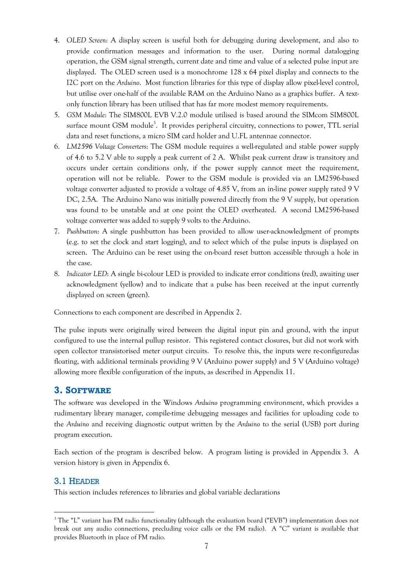- 4. *OLED Screen*: A display screen is useful both for debugging during development, and also to provide confirmation messages and information to the user. During normal datalogging operation, the GSM signal strength, current date and time and value of a selected pulse input are displayed. The OLED screen used is a monochrome 128 x 64 pixel display and connects to the I2C port on the *Arduino*. Most function libraries for this type of display allow pixel-level control, but utilise over one-half of the available RAM on the Arduino Nano as a graphics buffer. A textonly function library has been utilised that has far more modest memory requirements.
- 5. *GSM Module*: The SIM800L EVB V.2.0 module utilised is based around the SIMcom SIM800L surface mount GSM module<sup>3</sup>. It provides peripheral circuitry, connections to power, TTL serial data and reset functions, a micro SIM card holder and U.FL antennae connector.
- 6. *LM2596 Voltage Converters*: The GSM module requires a well-regulated and stable power supply of 4.6 to 5.2 V able to supply a peak current of 2 A. Whilst peak current draw is transitory and occurs under certain conditions only, if the power supply cannot meet the requirement, operation will not be reliable. Power to the GSM module is provided via an LM2596-based voltage converter adjusted to provide a voltage of 4.85 V, from an in-line power supply rated 9 V DC, 2.5A. The Arduino Nano was initially powered directly from the 9 V supply, but operation was found to be unstable and at one point the OLED overheated. A second LM2596-based voltage converter was added to supply 9 volts to the Arduino.
- 7. *Pushbutton*: A single pushbutton has been provided to allow user-acknowledgment of prompts (e.g. to set the clock and start logging), and to select which of the pulse inputs is displayed on screen. The Arduino can be reset using the on-board reset button accessible through a hole in the case.
- 8. *Indicator LED*: A single bi-colour LED is provided to indicate error conditions (red), awaiting user acknowledgment (yellow) and to indicate that a pulse has been received at the input currently displayed on screen (green).

Connections to each component are described in Appendix 2.

The pulse inputs were originally wired between the digital input pin and ground, with the input configured to use the internal pullup resistor. This registered contact closures, but did not work with open collector transistorised meter output circuits. To resolve this, the inputs were re-configuredas floating, with additional terminals providing 9 V (Arduino power supply) and 5 V (Arduino voltage) allowing more flexible configuration of the inputs, as described in Appendix 11.

## <span id="page-6-0"></span>**3. SOFTWARE**

The software was developed in the Windows *Arduino* programming environment, which provides a rudimentary library manager, compile-time debugging messages and facilities for uploading code to the *Arduino* and receiving diagnostic output written by the *Arduino* to the serial (USB) port during program execution.

Each section of the program is described below. A program listing is provided in Appendix 3. A version history is given in Appendix 6.

## <span id="page-6-1"></span>3.1 HEADER

<u>.</u>

This section includes references to libraries and global variable declarations

<sup>&</sup>lt;sup>3</sup> The "L" variant has FM radio functionality (although the evaluation board ("EVB") implementation does not break out any audio connections, precluding voice calls or the FM radio). A "C" variant is available that provides Bluetooth in place of FM radio.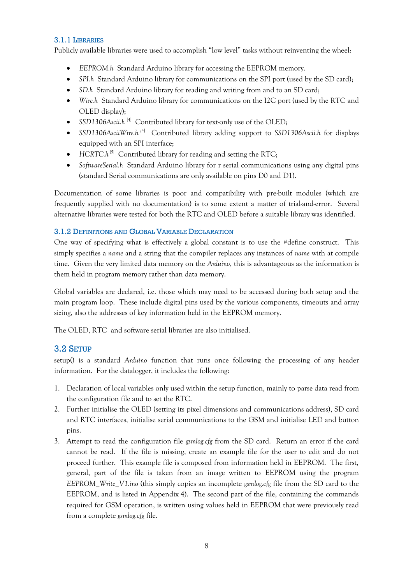### <span id="page-7-0"></span>3.1.1 LIBRARIES

Publicly available libraries were used to accomplish "low level" tasks without reinventing the wheel:

- *EEPROM.h* Standard Arduino library for accessing the EEPROM memory.
- *SPI.h* Standard Arduino library for communications on the SPI port (used by the SD card);
- *SD.h* Standard Arduino library for reading and writing from and to an SD card;
- *Wire.h* Standard Arduino library for communications on the I2C port (used by the RTC and OLED display);
- SSD1306Ascii.h<sup>[4]</sup> Contributed library for text-only use of the OLED;
- *SSD1306AsciiWire.h [*4] Contributed library adding support to *SSD1306Ascii.h* for displays equipped with an SPI interface;
- HCRTC.h<sup>[5]</sup> Contributed library for reading and setting the RTC;
- *SoftwareSerial.h* Standard Arduino library for r serial communications using any digital pins (standard Serial communications are only available on pins D0 and D1).

Documentation of some libraries is poor and compatibility with pre-built modules (which are frequently supplied with no documentation) is to some extent a matter of trial-and-error. Several alternative libraries were tested for both the RTC and OLED before a suitable library was identified.

## <span id="page-7-1"></span>3.1.2 DEFINITIONS AND GLOBAL VARIABLE DECLARATION

One way of specifying what is effectively a global constant is to use the #define construct. This simply specifies a *name* and a string that the compiler replaces any instances of *name* with at compile time. Given the very limited data memory on the *Arduino*, this is advantageous as the information is them held in program memory rather than data memory.

Global variables are declared, i.e. those which may need to be accessed during both setup and the main program loop. These include digital pins used by the various components, timeouts and array sizing, also the addresses of key information held in the EEPROM memory.

The OLED, RTC and software serial libraries are also initialised.

## <span id="page-7-2"></span>3.2 SETUP

setup() is a standard *Arduino* function that runs once following the processing of any header information. For the datalogger, it includes the following:

- 1. Declaration of local variables only used within the setup function, mainly to parse data read from the configuration file and to set the RTC.
- 2. Further initialise the OLED (setting its pixel dimensions and communications address), SD card and RTC interfaces, initialise serial communications to the GSM and initialise LED and button pins.
- 3. Attempt to read the configuration file *gsmlog.cfg* from the SD card. Return an error if the card cannot be read. If the file is missing, create an example file for the user to edit and do not proceed further. This example file is composed from information held in EEPROM. The first, general, part of the file is taken from an image written to EEPROM using the program *EEPROM\_Write\_V1.ino* (this simply copies an incomplete *gsmlog.cfg* file from the SD card to the EEPROM, and is listed in Appendix 4). The second part of the file, containing the commands required for GSM operation, is written using values held in EEPROM that were previously read from a complete *gsmlog.cfg* file.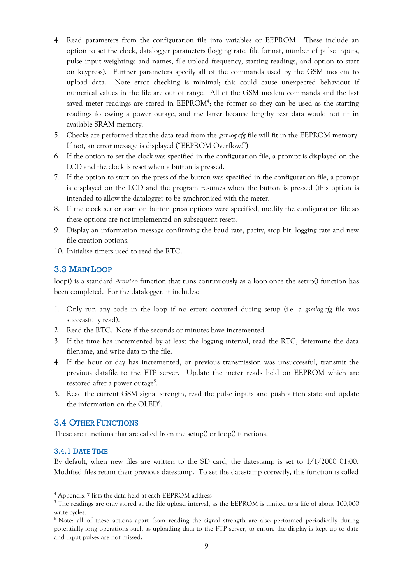- 4. Read parameters from the configuration file into variables or EEPROM. These include an option to set the clock, datalogger parameters (logging rate, file format, number of pulse inputs, pulse input weightings and names, file upload frequency, starting readings, and option to start on keypress). Further parameters specify all of the commands used by the GSM modem to upload data. Note error checking is minimal; this could cause unexpected behaviour if numerical values in the file are out of range. All of the GSM modem commands and the last saved meter readings are stored in  $EEPROM^4$ ; the former so they can be used as the starting readings following a power outage, and the latter because lengthy text data would not fit in available SRAM memory.
- 5. Checks are performed that the data read from the *gsmlog.cfg* file will fit in the EEPROM memory. If not, an error message is displayed ("EEPROM Overflow!")
- 6. If the option to set the clock was specified in the configuration file, a prompt is displayed on the LCD and the clock is reset when a button is pressed.
- 7. If the option to start on the press of the button was specified in the configuration file, a prompt is displayed on the LCD and the program resumes when the button is pressed (this option is intended to allow the datalogger to be synchronised with the meter.
- 8. If the clock set or start on button press options were specified, modify the configuration file so these options are not implemented on subsequent resets.
- 9. Display an information message confirming the baud rate, parity, stop bit, logging rate and new file creation options.
- 10. Initialise timers used to read the RTC.

## <span id="page-8-0"></span>3.3 MAIN LOOP

loop() is a standard *Arduino* function that runs continuously as a loop once the setup() function has been completed. For the datalogger, it includes:

- 1. Only run any code in the loop if no errors occurred during setup (i.e. a *gsmlog.cfg* file was successfully read).
- 2. Read the RTC. Note if the seconds or minutes have incremented.
- 3. If the time has incremented by at least the logging interval, read the RTC, determine the data filename, and write data to the file.
- 4. If the hour or day has incremented, or previous transmission was unsuccessful, transmit the previous datafile to the FTP server. Update the meter reads held on EEPROM which are restored after a power outage<sup>5</sup>.
- 5. Read the current GSM signal strength, read the pulse inputs and pushbutton state and update the information on the OLED<sup>6</sup>.

## <span id="page-8-1"></span>3.4 OTHER FUNCTIONS

These are functions that are called from the setup() or loop() functions.

## <span id="page-8-2"></span>3.4.1 DATE TIME

<u>.</u>

By default, when new files are written to the SD card, the datestamp is set to 1/1/2000 01:00. Modified files retain their previous datestamp. To set the datestamp correctly, this function is called

<sup>4</sup> Appendix 7 lists the data held at each EEPROM address

<sup>&</sup>lt;sup>5</sup> The readings are only stored at the file upload interval, as the EEPROM is limited to a life of about 100,000 write cycles.

<sup>&</sup>lt;sup>6</sup> Note: all of these actions apart from reading the signal strength are also performed periodically during potentially long operations such as uploading data to the FTP server, to ensure the display is kept up to date and input pulses are not missed.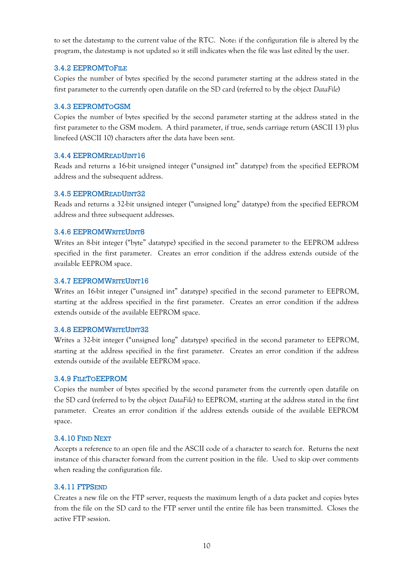to set the datestamp to the current value of the RTC. Note: if the configuration file is altered by the program, the datestamp is not updated so it still indicates when the file was last edited by the user.

## <span id="page-9-0"></span>3.4.2 EEPROMTOFILE

Copies the number of bytes specified by the second parameter starting at the address stated in the first parameter to the currently open datafile on the SD card (referred to by the object *DataFile*)

### <span id="page-9-1"></span>3.4.3 EEPROMTOGSM

Copies the number of bytes specified by the second parameter starting at the address stated in the first parameter to the GSM modem. A third parameter, if true, sends carriage return (ASCII 13) plus linefeed (ASCII 10) characters after the data have been sent.

## <span id="page-9-2"></span>3.4.4 EEPROMREADUINT16

Reads and returns a 16-bit unsigned integer ("unsigned int" datatype) from the specified EEPROM address and the subsequent address.

### <span id="page-9-3"></span>3.4.5 EEPROMREADUINT32

Reads and returns a 32-bit unsigned integer ("unsigned long" datatype) from the specified EEPROM address and three subsequent addresses.

### <span id="page-9-4"></span>3.4.6 EEPROMWRITEUINT8

Writes an 8-bit integer ("byte" datatype) specified in the second parameter to the EEPROM address specified in the first parameter. Creates an error condition if the address extends outside of the available EEPROM space.

### <span id="page-9-5"></span>3.4.7 EEPROMWRITEUINT16

Writes an 16-bit integer ("unsigned int" datatype) specified in the second parameter to EEPROM, starting at the address specified in the first parameter. Creates an error condition if the address extends outside of the available EEPROM space.

#### <span id="page-9-6"></span>3.4.8 EEPROMWRITEUINT32

Writes a 32-bit integer ("unsigned long" datatype) specified in the second parameter to EEPROM, starting at the address specified in the first parameter. Creates an error condition if the address extends outside of the available EEPROM space.

#### <span id="page-9-7"></span>3.4.9 FILETOEEPROM

Copies the number of bytes specified by the second parameter from the currently open datafile on the SD card (referred to by the object *DataFile*) to EEPROM, starting at the address stated in the first parameter. Creates an error condition if the address extends outside of the available EEPROM space.

## <span id="page-9-8"></span>3.4.10 FIND NEXT

Accepts a reference to an open file and the ASCII code of a character to search for. Returns the next instance of this character forward from the current position in the file. Used to skip over comments when reading the configuration file.

#### <span id="page-9-9"></span>3.4.11 FTPSEND

Creates a new file on the FTP server, requests the maximum length of a data packet and copies bytes from the file on the SD card to the FTP server until the entire file has been transmitted. Closes the active FTP session.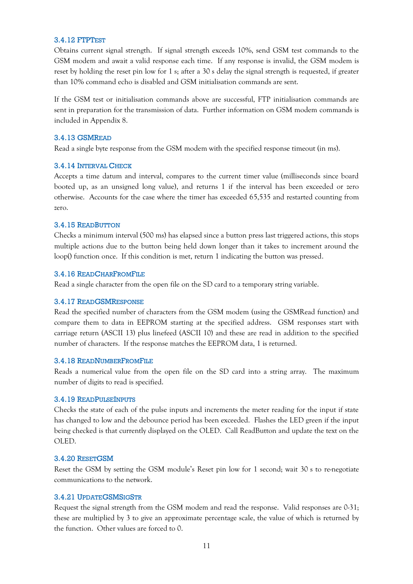#### <span id="page-10-0"></span>3.4.12 FTPTEST

Obtains current signal strength. If signal strength exceeds 10%, send GSM test commands to the GSM modem and await a valid response each time. If any response is invalid, the GSM modem is reset by holding the reset pin low for 1 s; after a 30 s delay the signal strength is requested, if greater than 10% command echo is disabled and GSM initialisation commands are sent.

If the GSM test or initialisation commands above are successful, FTP initialisation commands are sent in preparation for the transmission of data. Further information on GSM modem commands is included in Appendix 8.

#### <span id="page-10-1"></span>3.4.13 GSMREAD

Read a single byte response from the GSM modem with the specified response timeout (in ms).

#### <span id="page-10-2"></span>3.4.14 INTERVAL CHECK

Accepts a time datum and interval, compares to the current timer value (milliseconds since board booted up, as an unsigned long value), and returns 1 if the interval has been exceeded or zero otherwise. Accounts for the case where the timer has exceeded 65,535 and restarted counting from zero.

#### <span id="page-10-3"></span>3.4.15 READBUTTON

Checks a minimum interval (500 ms) has elapsed since a button press last triggered actions, this stops multiple actions due to the button being held down longer than it takes to increment around the loop() function once. If this condition is met, return 1 indicating the button was pressed.

#### <span id="page-10-4"></span>3.4.16 READCHARFROMFILE

Read a single character from the open file on the SD card to a temporary string variable.

#### <span id="page-10-5"></span>3.4.17 READGSMRESPONSE

Read the specified number of characters from the GSM modem (using the GSMRead function) and compare them to data in EEPROM starting at the specified address. GSM responses start with carriage return (ASCII 13) plus linefeed (ASCII 10) and these are read in addition to the specified number of characters. If the response matches the EEPROM data, 1 is returned.

#### <span id="page-10-6"></span>3.4.18 READNUMBERFROMFILE

Reads a numerical value from the open file on the SD card into a string array. The maximum number of digits to read is specified.

#### <span id="page-10-7"></span>3.4.19 READPULSEINPUTS

Checks the state of each of the pulse inputs and increments the meter reading for the input if state has changed to low and the debounce period has been exceeded. Flashes the LED green if the input being checked is that currently displayed on the OLED. Call ReadButton and update the text on the OLED.

#### <span id="page-10-8"></span>3.4.20 RESETGSM

Reset the GSM by setting the GSM module's Reset pin low for 1 second; wait 30 s to re-negotiate communications to the network.

#### <span id="page-10-9"></span>3.4.21 UPDATEGSMSIGSTR

Request the signal strength from the GSM modem and read the response. Valid responses are 0-31; these are multiplied by 3 to give an approximate percentage scale, the value of which is returned by the function. Other values are forced to 0.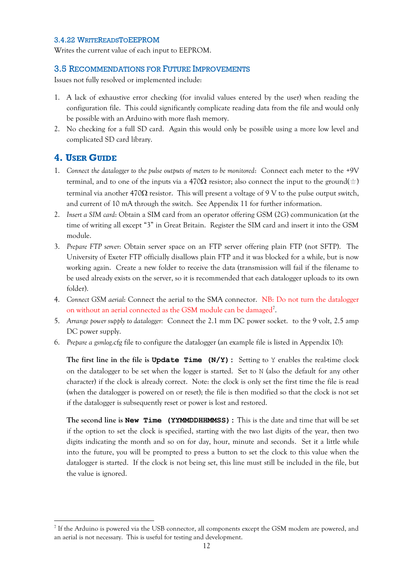#### <span id="page-11-0"></span>3.4.22 WRITEREADSTOEEPROM

Writes the current value of each input to EEPROM.

#### <span id="page-11-1"></span>3.5 RECOMMENDATIONS FOR FUTURE IMPROVEMENTS

Issues not fully resolved or implemented include:

- 1. A lack of exhaustive error checking (for invalid values entered by the user) when reading the configuration file. This could significantly complicate reading data from the file and would only be possible with an Arduino with more flash memory.
- 2. No checking for a full SD card. Again this would only be possible using a more low level and complicated SD card library.

## <span id="page-11-2"></span>**4. USER GUIDE**

<u>.</u>

- 1. *Connect the datalogger to the pulse outputs of meters to be monitored*: Connect each meter to the +9V terminal, and to one of the inputs via a 470 $\Omega$  resistor; also connect the input to the ground( $\pm$ ) terminal via another  $470\Omega$  resistor. This will present a voltage of 9 V to the pulse output switch, and current of 10 mA through the switch. See Appendix 11 for further information.
- 2. *Insert a SIM card*: Obtain a SIM card from an operator offering GSM (2G) communication (at the time of writing all except "3" in Great Britain. Register the SIM card and insert it into the GSM module.
- 3. *Prepare FTP server*: Obtain server space on an FTP server offering plain FTP (not SFTP). The University of Exeter FTP officially disallows plain FTP and it was blocked for a while, but is now working again. Create a new folder to receive the data (transmission will fail if the filename to be used already exists on the server, so it is recommended that each datalogger uploads to its own folder).
- 4. *Connect GSM aerial*: Connect the aerial to the SMA connector. NB: Do not turn the datalogger on without an aerial connected as the GSM module can be damaged<sup>7</sup>.
- 5. *Arrange power supply to datalogger:* Connect the 2.1 mm DC power socket. to the 9 volt, 2.5 amp DC power supply.
- 6. *Prepare a gsmlog*.cfg file to configure the datalogger (an example file is listed in Appendix 10):

**The first line in the file is Update Time (N/Y):** Setting to Y enables the real-time clock on the datalogger to be set when the logger is started. Set to N (also the default for any other character) if the clock is already correct. Note: the clock is only set the first time the file is read (when the datalogger is powered on or reset); the file is then modified so that the clock is not set if the datalogger is subsequently reset or power is lost and restored.

**The second line is New Time (YYMMDDHHMMSS):** This is the date and time that will be set if the option to set the clock is specified, starting with the two last digits of the year, then two digits indicating the month and so on for day, hour, minute and seconds. Set it a little while into the future, you will be prompted to press a button to set the clock to this value when the datalogger is started. If the clock is not being set, this line must still be included in the file, but the value is ignored.

<sup>7</sup> If the Arduino is powered via the USB connector, all components except the GSM modem are powered, and an aerial is not necessary. This is useful for testing and development.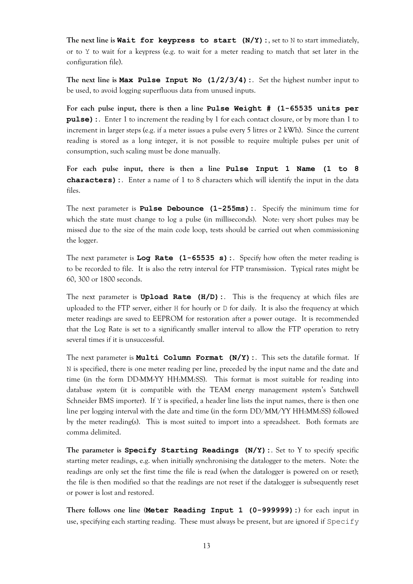The next line is **Wait for keypress to start**  $(N/Y)$ **:**, set to N to start immediately, or to Y to wait for a keypress (e.g. to wait for a meter reading to match that set later in the configuration file).

**The next line is Max Pulse Input No (1/2/3/4):**. Set the highest number input to be used, to avoid logging superfluous data from unused inputs.

**For each pulse input, there is then a line Pulse Weight # (1-65535 units per pulse):**. Enter 1 to increment the reading by 1 for each contact closure, or by more than 1 to increment in larger steps (e.g. if a meter issues a pulse every 5 litres or 2 kWh). Since the current reading is stored as a long integer, it is not possible to require multiple pulses per unit of consumption, such scaling must be done manually.

**For each pulse input, there is then a line Pulse Input 1 Name (1 to 8 characters):**. Enter a name of 1 to 8 characters which will identify the input in the data files.

The next parameter is **Pulse Debounce (1-255ms):**. Specify the minimum time for which the state must change to log a pulse (in milliseconds). Note: very short pulses may be missed due to the size of the main code loop, tests should be carried out when commissioning the logger.

The next parameter is **Log Rate (1-65535 s):**. Specify how often the meter reading is to be recorded to file. It is also the retry interval for FTP transmission. Typical rates might be 60, 300 or 1800 seconds.

The next parameter is **Upload Rate (H/D):**. This is the frequency at which files are uploaded to the FTP server, either H for hourly or D for daily. It is also the frequency at which meter readings are saved to EEPROM for restoration after a power outage. It is recommended that the Log Rate is set to a significantly smaller interval to allow the FTP operation to retry several times if it is unsuccessful.

The next parameter is **Multi Column Format (N/Y):**. This sets the datafile format. If N is specified, there is one meter reading per line, preceded by the input name and the date and time (in the form DD-MM-YY HH:MM:SS). This format is most suitable for reading into database system (it is compatible with the TEAM energy management system's Satchwell Schneider BMS importer). If  $Y$  is specified, a header line lists the input names, there is then one line per logging interval with the date and time (in the form DD/MM/YY HH:MM:SS) followed by the meter reading(s). This is most suited to import into a spreadsheet. Both formats are comma delimited.

**The parameter is Specify Starting Readings (N/Y):**. Set to Y to specify specific starting meter readings, e.g. when initially synchronising the datalogger to the meters. Note: the readings are only set the first time the file is read (when the datalogger is powered on or reset); the file is then modified so that the readings are not reset if the datalogger is subsequently reset or power is lost and restored.

**There follows one line (Meter Reading Input 1 (0-999999):)** for each input in use, specifying each starting reading. These must always be present, but are ignored if  ${\rm Speci}f$ y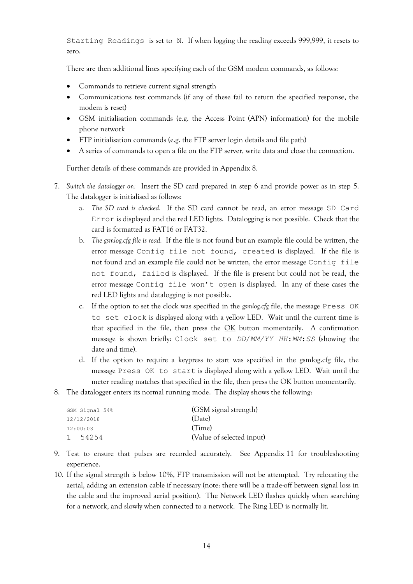Starting Readings is set to N. If when logging the reading exceeds 999,999, it resets to zero.

There are then additional lines specifying each of the GSM modem commands, as follows:

- Commands to retrieve current signal strength
- Communications test commands (if any of these fail to return the specified response, the modem is reset)
- GSM initialisation commands (e.g. the Access Point (APN) information) for the mobile phone network
- FTP initialisation commands (e.g. the FTP server login details and file path)
- A series of commands to open a file on the FTP server, write data and close the connection.

Further details of these commands are provided in Appendix 8.

- 7. *Switch the datalogger on:* Insert the SD card prepared in step 6 and provide power as in step 5. The datalogger is initialised as follows:
	- a. *The SD card is checked.* If the SD card cannot be read, an error message SD Card Error is displayed and the red LED lights. Datalogging is not possible. Check that the card is formatted as FAT16 or FAT32.
	- b. *The gsmlog.cfg file is read.* If the file is not found but an example file could be written, the error message Config file not found, created is displayed. If the file is not found and an example file could not be written, the error message Config file not found, failed is displayed. If the file is present but could not be read, the error message Config file won't open is displayed. In any of these cases the red LED lights and datalogging is not possible.
	- c. If the option to set the clock was specified in the *gsmlog.cfg* file, the message Press OK to set clock is displayed along with a yellow LED. Wait until the current time is that specified in the file, then press the  $\overline{\text{OK}}$  button momentarily. A confirmation message is shown briefly: Clock set to *DD*/*MM/YY HH*:*MM*:*SS* (showing the date and time).
	- d. If the option to require a keypress to start was specified in the gsmlog.cfg file, the message Press OK to start is displayed along with a yellow LED. Wait until the meter reading matches that specified in the file, then press the OK button momentarily.
- 8. The datalogger enters its normal running mode. The display shows the following:

| GSM Signal 54%        | (GSM signal strength)     |
|-----------------------|---------------------------|
| 12/12/2018            | (Date)                    |
| 12:00:03              | (Time)                    |
| 54254<br>$\mathbf{1}$ | (Value of selected input) |

- 9. Test to ensure that pulses are recorded accurately. See Appendix 11 for troubleshooting experience.
- 10. If the signal strength is below 10%, FTP transmission will not be attempted. Try relocating the aerial, adding an extension cable if necessary (note: there will be a trade-off between signal loss in the cable and the improved aerial position). The Network LED flashes quickly when searching for a network, and slowly when connected to a network. The Ring LED is normally lit.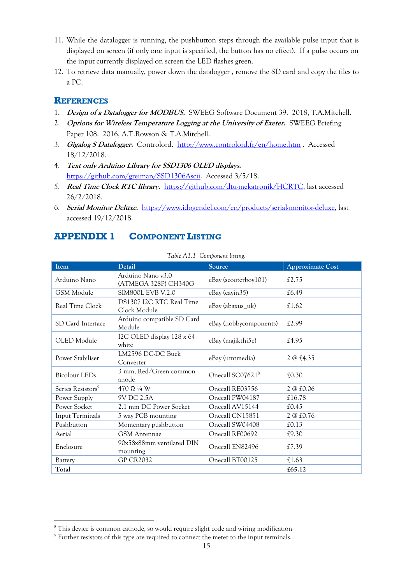- 11. While the datalogger is running, the pushbutton steps through the available pulse input that is displayed on screen (if only one input is specified, the button has no effect). If a pulse occurs on the input currently displayed on screen the LED flashes green.
- 12. To retrieve data manually, power down the datalogger , remove the SD card and copy the files to a PC.

## **REFERENCES**

<u>.</u>

- 1. **Design of a Datalogger for MODBUS.** SWEEG Software Document 39. 2018, T.A.Mitchell.
- 2. **Options for Wireless Temperature Logging at the University of Exeter.** SWEEG Briefing Paper 108. 2016, A.T.Rowson & T.A.Mitchell.
- 3. **Gigalog S Datalogger.** Controlord. <http://www.controlord.fr/en/home.htm> . Accessed 18/12/2018.
- 4. **Text only Arduino Library for SSD1306 OLED displays.** [https://github.com/greiman/SSD1306Ascii.](https://github.com/greiman/SSD1306Ascii) Accessed 3/5/18.
- 5. **Real Time Clock RTC library.** [https://github.com/dtu-mekatronik/HCRTC,](https://github.com/dtu-mekatronik/HCRTC) last accessed 26/2/2018.
- 6. **Serial Monitor Deluxe.** [https://www.idogendel.com/en/products/serial-monitor-deluxe,](https://www.idogendel.com/en/products/serial-monitor-deluxe) last accessed 19/12/2018.

## <span id="page-14-0"></span>**APPENDIX 1 COMPONENT LISTING**

| Item                          | Detail                                    | Source                       | <b>Approximate Cost</b> |
|-------------------------------|-------------------------------------------|------------------------------|-------------------------|
| Arduino Nano                  | Arduino Nano v3.0<br>(ATMEGA 328P) CH340G | eBay (scooterboy101)         | £2.75                   |
| GSM Module                    | <b>SIM800L EVB V.2.0</b>                  | eBay (cayin 35)              | £6.49                   |
| Real Time Clock               | DS1307 I2C RTC Real Time<br>Clock Module  | eBay (abaxus_uk)             | £1.62                   |
| SD Card Interface             | Arduino compatible SD Card<br>Module      | eBay (hobbycomponents)       | £2.99                   |
| OLED Module                   | I2C OLED display 128 x 64<br>white        | eBay (majikthi5e)            | £4.95                   |
| Power Stabiliser              | LM2596 DC-DC Buck<br>Converter            | eBay (umtmedia)              | 2 @ £4.35               |
| <b>Bicolour LEDs</b>          | 3 mm, Red/Green common<br>anode           | Onecall SC07621 <sup>8</sup> | £0.30                   |
| Series Resistors <sup>9</sup> | 470 $\Omega$ ¼ W                          | Onecall RE03756              | 2 @ £0.06               |
| Power Supply                  | 9V DC 2.5A                                | Onecall PW04187              | £16.78                  |
| Power Socket                  | 2.1 mm DC Power Socket                    | Onecall AV15144              | £0.45                   |
| <b>Input Terminals</b>        | 5 way PCB mounting                        | Onecall CN15851              | 2 @ £0.76               |
| Pushbutton                    | Momentary pushbutton                      | Onecall SW04408              | £0.13                   |
| Aerial                        | <b>GSM</b> Antennae                       | Onecall RF00692              | £9.30                   |
| Enclosure                     | 90x58x88mm ventilated DIN<br>mounting     | Onecall EN82496              | £7.39                   |
| Battery                       | <b>GP CR2032</b>                          | Onecall BT00125              | £1.63                   |
| Total                         |                                           |                              | £65.12                  |

*Table A1.1 Component listing.*

<sup>8</sup> This device is common cathode, so would require slight code and wiring modification

<sup>&</sup>lt;sup>9</sup> Further resistors of this type are required to connect the meter to the input terminals.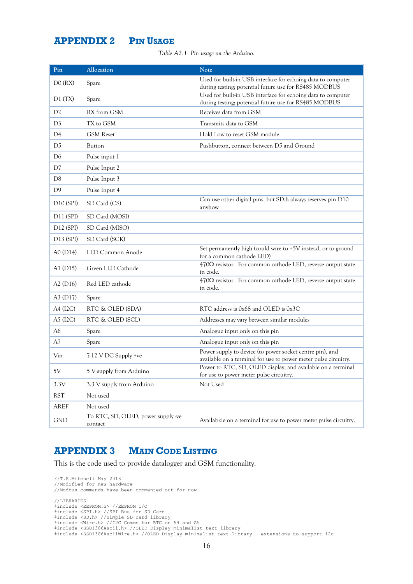## <span id="page-15-0"></span>**APPENDIX 2 PIN USAGE**

*Table A2.1 Pin usage on the Arduino.*

| Pin                   | Allocation                                    | Note                                                                                                                        |
|-----------------------|-----------------------------------------------|-----------------------------------------------------------------------------------------------------------------------------|
| DO(RX)                | Spare                                         | Used for built-in USB interface for echoing data to computer<br>during testing; potential future use for RS485 MODBUS       |
| D1(TX)                | Spare                                         | Used for built-in USB interface for echoing data to computer<br>during testing; potential future use for RS485 MODBUS       |
| D2                    | RX from GSM                                   | Receives data from GSM                                                                                                      |
| D <sub>3</sub>        | TX to GSM                                     | Transmits data to GSM                                                                                                       |
| D <sub>4</sub>        | <b>GSM</b> Reset                              | Hold Low to reset GSM module                                                                                                |
| D5                    | Button                                        | Pushbutton, connect between D5 and Ground                                                                                   |
| D <sub>6</sub>        | Pulse input 1                                 |                                                                                                                             |
| D7                    | Pulse Input 2                                 |                                                                                                                             |
| D <sub>8</sub>        | Pulse Input 3                                 |                                                                                                                             |
| D <sub>9</sub>        | Pulse Input 4                                 |                                                                                                                             |
| D <sub>10</sub> (SPI) | SD Card (CS)                                  | Can use other digital pins, but SD.h always reserves pin D10<br>anyhow                                                      |
| D <sub>11</sub> (SPI) | SD Card (MOSI)                                |                                                                                                                             |
| D <sub>12</sub> (SPI) | SD Card (MISO)                                |                                                                                                                             |
| D13 (SPI)             | SD Card (SCK)                                 |                                                                                                                             |
| A0 (D14)              | LED Common Anode                              | Set permanently high (could wire to +5V instead, or to ground<br>for a common cathode LED)                                  |
| A1 (D15)              | Green LED Cathode                             | $470\Omega$ resistor. For common cathode LED, reverse output state<br>in code.                                              |
| A2(D16)               | Red LED cathode                               | $470\Omega$ resistor. For common cathode LED, reverse output state<br>in code.                                              |
| A3 (D17)              | Spare                                         |                                                                                                                             |
| A4 (I2C)              | RTC & OLED (SDA)                              | RTC address is 0x68 and OLED is 0x3C                                                                                        |
| A5 (I2C)              | RTC & OLED (SCL)                              | Addresses may vary between similar modules                                                                                  |
| A6                    | Spare                                         | Analogue input only on this pin                                                                                             |
| A7                    | Spare                                         | Analogue input only on this pin                                                                                             |
| Vin                   | 7-12 V DC Supply +ve                          | Power supply to device (to power socket centre pin), and<br>available on a terminal for use to power meter pulse circuitry. |
| 5V                    | 5 V supply from Arduino                       | Power to RTC, SD, OLED display, and available on a terminal<br>for use to power meter pulse circuitry.                      |
| 3.3V                  | 3.3 V supply from Arduino                     | Not Used                                                                                                                    |
| <b>RST</b>            | Not used                                      |                                                                                                                             |
| AREF                  | Not used                                      |                                                                                                                             |
| <b>GND</b>            | To RTC, SD, OLED, power supply -ve<br>contact | Availabkle on a terminal for use to power meter pulse circuitry.                                                            |

## <span id="page-15-1"></span>**APPENDIX 3 MAIN CODE LISTING**

This is the code used to provide datalogger and GSM functionality.

```
//T.A.Mitchell May 2018
//Modified for new hardware
//Modbus commands have been commented out for now
//LIBRARIES<br>#include <EEPROM.h> //EEPROM I/O<br>#include <SPI.h> //SPI Bus for SD Card<br>#include <SD.h> //Simple SD card library<br>#include <Wire.h> //IC COmms for RTC on A4 and A5<br>#include <SSD1306Ascii.h> //OLED Display minima
```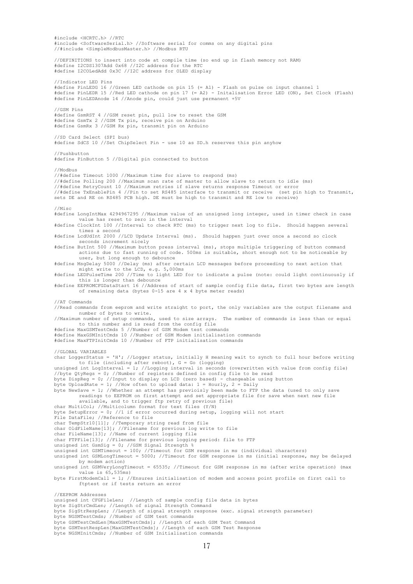#include <HCRTC.h> //RTC #include <SoftwareSerial.h> //Software serial for comms on any digital pins //#include <SimpleModbusMaster.h> //Modbus RTU //DEFINITIONS to insert into code at compile time (so end up in flash memory not RAM) #define I2CDS1307Add 0x68 //I2C address for the RTC #define I2COLedAdd 0x3C //I2C address for OLED display //Indicator LED Pins #define PinLEDG 16 //Green LED cathode on pin 15 (= A1) - Flash on pulse on input channel 1 #define PinLEDR 15 //Red LED cathode on pin 17 (= A2) - Initalisation Error LED (ON), Set Clock (Flash) #define PinLEDAnode 14 //Anode pin, could just use permanent +5V //GSM Pins #define GsmRST 4 //GSM reset pin, pull low to reset the GSM #define GsmTx 2 //GSM Tx pin, receive pin on Arduino #define GsmRx 3 //GSM Rx pin, transmit pin on Arduino //SD Card Select (SPI bus) #define SdCS 10 //Set ChipSelect Pin - use 10 as SD.h reserves this pin anyhow //Pushbutton #define PinButton 5 //Digital pin connected to button //Modbus //#define Timeout 1000 //Maximum time for slave to respond (ms) //#define Polling 200 //Maximum scan rate of master to allow slave to return to idle (ms) //#define RetryCount 10 //Maximum retries if slave returns response Timeout or error //#define TxEnablePin 4 //Pin to set RS485 interface to transmit or receive (set pin high to Transmit, sets DE and RE on RS485 PCB high. DE must be high to transmit and RE low to receive) //Misc #define LongIntMax 4294967295 //Maximum value of an unsigned long integer, used in timer check in case value has reset to zero in the interval #define ClockInt 100 //Interval to check RTC (ms) to trigger next log to file. Should happen several times a second #define LcdUdInt 2000 //LCD Update Interval (ms). Should happen just over once a second so clock seconds increment nicely #define ButInt 500 //Maximum button press interval (ms), stops multiple triggering of button command actions due to fast running of code. 500ms is suitable, short enough not to be noticeable by user, but long enough to debounce #define MsgDelay 5000 //Delay (ms) after certain LCD messages before proceeding to next action that might write to the LCD, e.g. 5,000ms #define LEDPulseTime 200 //Time to light LED for to indicate a pulse (note: could light continuously if this is longer than debounce #define EEPROMCFGDataStart 16 //Address of start of sample config file data, first two bytes are length of remaining data (bytes 0-15 are 4 x 4 byte meter reads) //AT Commands //Read commands from eeprom and write straight to port, the only variables are the output filename and number of bytes to write. //Maximum number of setup commands, used to size arrays. The number of commands is less than or equal to this number and is read from the config file #define MaxGSMTestCmds 5 //Number of GSM Modem test commands #define MaxGSMInitCmds 10 //Number of GSM Modem initialisation commands #define MaxFTPInitCmds 10 //Number of FTP initialisation commands //GLOBAL VARIABLES char LoggerStatus = 'H'; //Logger status, initially H meaning wait to synch to full hour before writing to file (including after reboot), G = Go (logging) unsigned int LogInterval = 1; //Logging interval in seconds (overwritten with value from config file) //byte QtyRegs = 0; //Number of registers defined in config file to be read byte DispReg = 0; //Input to display on LCD (zero based) - changeable using button byte UploadRate = 1; //How often to upload data: 1 = Hourly, 2 = Daily byte NewSave = 1; //Whether an attempt has previoisly been made to FTP the data (used to only save readings to EEPROM on first attempt and set appropriate file for save when next new file available, and to trigger ftp retry of previous file) char MultiCol; //Multicolumn format for text files (Y/N) byte SetupError = 0; //1 if error occurred during setup, logging will not start File DataFile; //Reference to file char TempStr10[11]; //Temporary string read from file char OldFileName[13]; //Filename for previous log write to file char FileName[13]; //Name of current logging file char FTPFile[13]; //Filename for previous logging period: file to FTP unsigned int GsmSig = 0; //GSM Signal Strength % unsigned int GSMTimeout = 100; //Timeout for GSM response in ms (individual characters) unsigned int GSMLongTimeout = 5000; //Timeout for GSM response in ms (initial response, may be delayed by modem action) unsigned int GSMVeryLongTimeout = 65535; //Timeout for GSM response in ms (after write operation) (max value is 65,535ms) byte FirstModemCall = 1; //Ensures initialisation of modem and access point profile on first call to ftptest or if tests return an error //EEPROM Addresses unsigned int CFGFileLen; //Length of sample config file data in bytes byte SigStrCmdLen; //Length of signal Strength Command byte SigStrRespLen; //Length of signal strength response (exc. signal strength parameter) byte NGSMTestCmds; //Number of GSM test commands byte GSMTestCmdLen[MaxGSMTestCmds]; //Length of each GSM Test Command byte GSMTestRespLen[MaxGSMTestCmds]; //Length of each GSM Test Response byte NGSMInitCmds; //Number of GSM Initialisation commands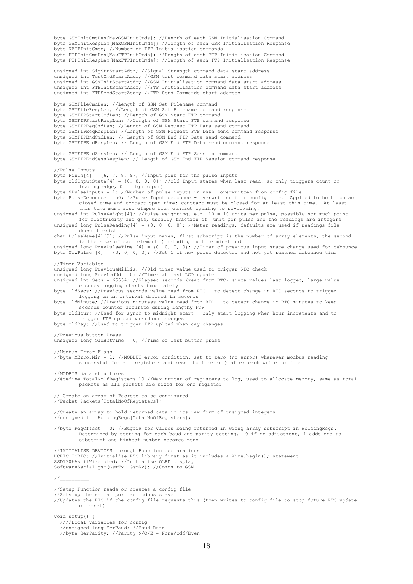byte GSMInitCmdLen[MaxGSMInitCmds]; //Length of each GSM Initialisation Command byte GSMInitRespLen[MaxGSMInitCmds]; //Length of each GSM Initialisation Response byte NFTPInitCmds; //Number of FTP Initialisation commands byte FTPInitCmdLen[MaxFTPInitCmds]; //Length of each FTP Initialisation Command byte FTPInitRespLen[MaxFTPInitCmds]; //Length of each FTP Initialisation Response unsigned int SigStrStartAddr; //Signal Strength command data start address unsigned int TestCmdStartAddr; //GSM test command data start address unsigned int GSMInitStartAddr; //GSM Initialisation command data start address unsigned int FTPInitStartAddr; //FTP Initialisation command data start address unsigned int FTPSendStartAddr; //FTP Send Commands start address byte GSMFileCmdLen; //Length of GSM Set Filename command byte GSMFileRespLen; //Length of GSM Set Filename command response byte GSMFTPStartCmdLen; //Length of GSM Start FTP command byte GSMFTPStartRespLen; //Length of GSM Start FTP command response byte GSMFTPReqCmdLen; //Length of GSM Request FTP Data send command byte GSMFTPReqRespLen; //Length of GSM Request FTP Data send command response byte GSMFTPEndCmdLen; // Length of GSM End FTP Data send command byte GSMFTPEndRespLen; // Length of GSM End FTP Data send command response byte GSMFTPEndSessLen; // Length of GSM End FTP Session command byte GSMFTPEndSessRespLen; // Length of GSM End FTP Session command response //Pulse Inputs byte PinIn<sup>[4]</sup> = {6, 7, 8, 9}; //Input pins for the pulse inputs byte OldInputState[4] = {0, 0, 0, 0}; //Old Input states when last read, so only triggers count on leading edge,  $0 =$  high (open) byte NPulseInputs = 1; //Number of pulse inputs in use - overwritten from config file byte PulseDebounce = 50; //Pulse Input debounce - overwritten from config file. Applied to both contact<br>closed time and contact open time: conctact must be closed for at least this time. At least<br>this time must also elapse unsigned int PulseWeight[4]; //Pulse weighting, e.g. 10 = 10 units per pulse, possibly not much point for electricity and gas, usually fraction of unit per pulse and the readings are integers unsigned long PulseReading[4] = {0, 0, 0, 0}; //Meter readings, defaults are used if readings file doesn't exist char PulseName[4][9]; //Pulse input names, first subscript is the number of array elements, the second is the size of each element (including null termination) unsigned long PrevPulseTime  $[4] = \{0, 0, 0, 0\}$ ; //Timer of previous input state change used for debounce byte NewPulse [4] = {0, 0, 0, 0}; //Set 1 if new pulse detected and not yet reached debounce time //Timer Variables unsigned long PreviousMillis; //Old timer value used to trigger RTC check unsigned long PrevLcdUd = 0; //Timer at last LCD update unsigned int Secs = 65534; //Elapsed seconds (read from RTC) since values last logged, large value ensures logging starts immediately byte OldSecs; //Previous seconds value read from RTC - to detect change in RTC seconds to trigger logging on an interval defined in seconds byte OldMinute; //Previous minutess value read from RTC - to detect change in RTC minutes to keep seconds counter accurate during lengthy FTP byte OldHour; //Used for synch to midnight start - only start logging when hour increments and to trigger FTP upload when hour changes byte OldDay; //Used to trigger FTP upload when day changes //Previous button Press unsigned long OldButTime =  $0$ ; //Time of last button press //Modbus Error Flags //byte MErrorMin = 1; //MODBUS error condition, set to zero (no error) whenever modbus reading successful for all registers and reset to 1 (error) after each write to file //MODBUS data structures //#define TotalNoOfRegisters 10 //Max number of registers to log, used to allocate memory, same as total packets as all packets are sized for one register // Create an array of Packets to be configured //Packet Packets[TotalNoOfRegisters]; //Create an array to hold returned data in its raw form of unsigned integers //unsigned int HoldingRegs[TotalNoOfRegisters]; //byte RegOffset = 0; //Bugfix for values being returned in wrong array subscript in HoldingRegs. Determined by testing for each baud and parity setting. 0 if no adjustment, 1 adds one to subscript and highest number becomes zero //INITIALISE DEVICES through Function declarations HCRTC HCRTC; //Initialise RTC library first as it includes a Wire.begin(); statement SSD1306AsciiWire oled; //Initialise OLED display SoftwareSerial gsm(GsmTx, GsmRx); //Comms to GSM //\_ //Setup Function reads or creates a config file //Sets up the serial port as modbus slave //Updates the RTC if the config file requests this (then writes to config file to stop future RTC update on reset) void setup() { ////Local variables for config //unsigned long SerBaud; //Baud Rate //byte SerParity; //Parity N/O/E = None/Odd/Even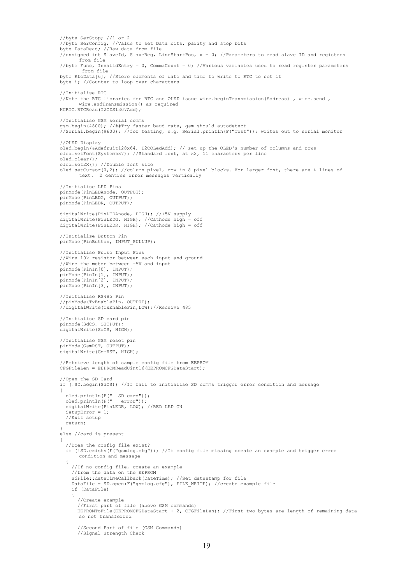//byte SerStop; //1 or 2 //byte SerConfig; //Value to set Data bits, parity and stop bits byte DataRead; //Raw data from file //unsigned int SlaveId, SlaveReg, LineStartPos,  $x = 0$ ; //Parameters to read slave ID and registers from file //byte Func, InvalidEntry = 0, CommaCount = 0; //Various variables used to read register parameters from file byte RtcData[6]; //Store elements of date and time to write to RTC to set it byte i; //Counter to loop over characters //Initialise RTC //Note the RTC libraries for RTC and OLED issue wire.beginTransmission(Address) , wire.send , wire.endTransmission() as required HCRTC.RTCRead(I2CDS1307Add); //Initialise GSM serial comms gsm.begin(4800); //##Try faster baud rate, gsm should autodetect //Serial.begin(9600); //for testing, e.g. Serial.println(F("Test")); writes out to serial monitor //OLED Display oled.begin(&Adafruit128x64, I2COLedAdd); // set up the OLED's number of columns and rows oled.setFont(System5x7); //Standard font, at x2, 11 characters per line oled.clear(); oled.set2X(); //Double font size oled.setCursor(0,2); //column pixel, row in 8 pixel blocks. For larger font, there are 4 lines of text. 2 centres error messages vertically //Initialise LED Pins pinMode(PinLEDAnode, OUTPUT); pinMode(PinLEDG, OUTPUT); pinMode(PinLEDR, OUTPUT); digitalWrite(PinLEDAnode, HIGH); //+5V supply digitalWrite(PinLEDG, HIGH); //Cathode high = off digitalWrite(PinLEDR, HIGH); //Cathode high = off //Initialise Button Pin pinMode(PinButton, INPUT PULLUP); //Initialise Pulse Input Pins //Wire 10k resistor between each input and ground //Wire the meter between +5V and input pinMode(PinIn[0], INPUT); pinMode(PinIn[1], INPUT); pinMode(PinIn[2], INPUT); pinMode(PinIn[3], INPUT); //Initialise RS485 Pin //pinMode(TxEnablePin, OUTPUT); //digitalWrite(TxEnablePin,LOW);//Receive 485 //Initialise SD card pin pinMode(SdCS, OUTPUT); digitalWrite(SdCS, HIGH); //Initialise GSM reset pin pinMode(GsmRST, OUTPUT); digitalWrite(GsmRST, HIGH); //Retrieve length of sample config file from EEPROM CFGFileLen = EEPROMReadUint16(EEPROMCFGDataStart); //Open the SD Card if (!SD.begin(SdCS)) //If fail to initialise SD comms trigger error condition and message { oled.println(F(" SD card"));<br>oled.println(F(" error"));  $oled.println(F("$  digitalWrite(PinLEDR, LOW); //RED LED ON  $SetubError = 1;$  //Exit setup return; } else //card is present  $\qquad \qquad$  //Does the config file exist? if (!SD.exists(F("gsmlog.cfg"))) //If config file missing create an example and trigger error condition and message  $\left\{\begin{array}{ccc} \end{array}\right\}$  //If no config file, create an example //from the data on the EEPROM SdFile::dateTimeCallback(DateTime); //Set datestamp for file DataFile = SD.open(F("gsmlog.cfg"), FILE WRITE); //create example file if (DataFile) { //Create example //First part of file (above GSM commands) EEPROMToFile(EEPROMCFGDataStart + 2, CFGFileLen); //First two bytes are length of remaining data so not transferred //Second Part of file (GSM Commands) //Signal Strength Check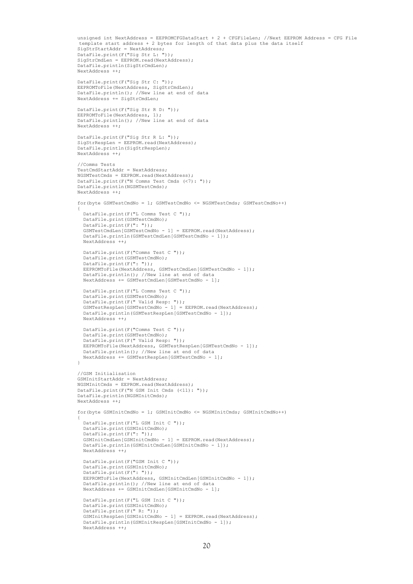```
unsigned int NextAddress = EEPROMCFGDataStart + 2 + CFGFileLen: //Next EEPROM Address = CFG File
          template start address + 2 bytes for length of that data plus the data itself
SigStrStartAddr = NextAddress;
          DataFile.print(F("Sig Str L: "));
         SigStrCmdLen = EEPROM.read(NextAddress);
          DataFile.println(SigStrCmdLen);
          NextAddress ++;
          DataFile.print(F("Sig Str C: "));
         EEPROMToFile(NextAddress, SigStrCmdLen);
          DataFile.println(); //New line at end of data
          NextAddress += SigStrCmdLen;
         DataFile.print(F("Sig Str R D: "));
         EEPROMToFile(NextAddress, 1);
         DataFile.println(); //New line at end of data
          NextAddress ++;
 DataFile.print(F("Sig Str R L: "));
 SigStrRespLen = EEPROM.read(NextAddress);
         DataFile.println(SigStrRespLen);
          NextAddress ++;
          //Comms Tests
          TestCmdStartAddr = NextAddress;
          NGSMTestCmds = EEPROM.read(NextAddress);
         DataFile.print(F("N Comms Test Cmds (<7): "));
          DataFile.println(NGSMTestCmds);
          NextAddress ++;
          for(byte GSMTestCmdNo = 1; GSMTestCmdNo <= NGSMTestCmds; GSMTestCmdNo++)
\left\{ \begin{array}{ccc} 0 & 0 & 0 \\ 0 & 0 & 0 \\ 0 & 0 & 0 \\ 0 & 0 & 0 \\ 0 & 0 & 0 \\ 0 & 0 & 0 \\ 0 & 0 & 0 \\ 0 & 0 & 0 \\ 0 & 0 & 0 \\ 0 & 0 & 0 \\ 0 & 0 & 0 \\ 0 & 0 & 0 \\ 0 & 0 & 0 \\ 0 & 0 & 0 & 0 \\ 0 & 0 & 0 & 0 \\ 0 & 0 & 0 & 0 \\ 0 & 0 & 0 & 0 \\ 0 & 0 & 0 & 0 & 0 \\ 0 & 0 & 0 & 0 & 0 \\ 0 & 0 & 0 & 0 & 0 DataFile.print(F("L Comms Test C "));
            DataFile.print(GSMTestCmdNo);
            DataFile.print(F(": "));
           GSMTestCmdLen[GSMTestCmdNo - 1] = ERPROM read(NextAddress); DataFile.println(GSMTestCmdLen[GSMTestCmdNo - 1]);
            NextAddress ++;
            DataFile.print(F("Comms Test C "));
            DataFile.print(GSMTestCmdNo);
           DataFile.print(F(": "));
           EEPROMToFile(NextAddress, GSMTestCmdLen[GSMTestCmdNo - 1]);
            DataFile.println(); //New line at end of data
            NextAddress += GSMTestCmdLen[GSMTestCmdNo - 1];
            DataFile.print(F("L Comms Test C "));
           DataFile.print(GSMTestCmdNo);
 DataFile.print(F(" Valid Resp: "));
 GSMTestRespLen[GSMTestCmdNo - 1] = EEPROM.read(NextAddress);
           DataFile.println(GSMTestRespLen[GSMTestCmdNo - 1]);
            NextAddress ++;
            DataFile.print(F("Comms Test C "));
           DataFile.print(GSMTestCmdNo);
            DataFile.print(F(" Valid Resp: "));
 EEPROMToFile(NextAddress, GSMTestRespLen[GSMTestCmdNo - 1]);
 DataFile.println(); //New line at end of data
            NextAddress += GSMTestRespLen[GSMTestCmdNo - 1];
 }
          //GSM Initialisation
          GSMInitStartAddr = NextAddress;
          NGSMInitCmds = EEPROM.read(NextAddress);
         DataFile.print(F("N GSM Init Cmds (<11): "));
          DataFile.println(NGSMInitCmds);
          NextAddress ++;
          for(byte GSMInitCmdNo = 1; GSMInitCmdNo <= NGSMInitCmds; GSMInitCmdNo++)
\left\{ \begin{array}{cc} 0 & 0 \\ 0 & 0 \end{array} \right\} DataFile.print(F("L GSM Init C "));
            DataFile.print(GSMInitCmdNo);
            DataFile.print(F(": "));
           GSMInitCmdLen[GSMInitCmdNo - 1] = EEPROM.read(NextAddress);
           DataFile.println(GSMInitCmdLen[GSMInitCmdNo - 1]);
            NextAddress ++;
            DataFile.print(F("GSM Init C "));
            DataFile.print(GSMInitCmdNo);
           DataFile.print(F(": "));
           EEPROMToFile(NextAddress, GSMInitCmdLen[GSMInitCmdNo - 1]);
            DataFile.println(); //New line at end of data
           NextAddress += GSMInitCmdLen[GSMInitCmdNo - 1];
            DataFile.print(F("L GSM Init C "));
            DataFile.print(GSMInitCmdNo);
 DataFile.print(F(" R: "));
 GSMInitRespLen[GSMInitCmdNo - 1] = EEPROM.read(NextAddress);
           DataFile.println(GSMInitRespLen[GSMInitCmdNo - 1]);
            NextAddress ++;
```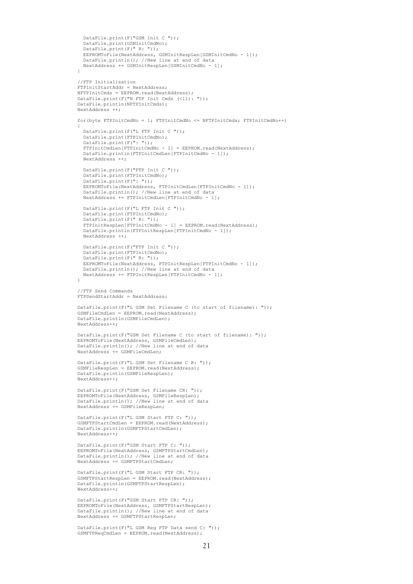```
 DataFile.print(F("GSM Init C "));
           DataFile.print(GSMInitCmdNo);
          DataFile.print(F(" R: "));
 EEPROMToFile(NextAddress, GSMInitRespLen[GSMInitCmdNo - 1]);
 DataFile.println(); //New line at end of data
           NextAddress += GSMInitRespLen[GSMInitCmdNo - 1];
         }
         //FTP Initialisation
         FTPInitStartAddr = NextAddress;
         NFTPInitCmds = EEPROM.read(NextAddress);
        DataFile.print(F("N FTP Init Cmds (\leq 11): "));
         DataFile.println(NFTPInitCmds);
         NextAddress ++;
         for(byte FTPInitCmdNo = 1; FTPInitCmdNo <= NFTPInitCmds; FTPInitCmdNo++)
\left\{ \begin{array}{cc} 0 & 0 \\ 0 & 0 \end{array} \right\} DataFile.print(F("L FTP Init C "));
 DataFile.print(FTPInitCmdNo);
 DataFile.print(F(": "));
           FTPInitCmdLen[FTPInitCmdNo - 1] = EEPROM.read(NextAddress);
           DataFile.println(FTPInitCmdLen[FTPInitCmdNo - 1]);
           NextAddress ++;
           DataFile.print(F("FTP Init C "));
           DataFile.print(FTPInitCmdNo);
          DataFile.print(F(": "));
          EEPROMToFile(NextAddress, FTPInitCmdLen[FTPInitCmdNo - 1]);
           DataFile.println(); //New line at end of data
          NextAddress += FTPInitCmdLen[FTPInitCmdNo - 1];
           DataFile.print(F("L FTP Init C "));
           DataFile.print(FTPInitCmdNo);
           DataFile.print(F(" R: "));
           FTPInitRespLen[FTPInitCmdNo - 1] = EEPROM.read(NextAddress);
          DataFile.println(FTPInitRespLen[FTPInitCmdNo - 1]);
           NextAddress ++;
           DataFile.print(F("FTP Init C "));
           DataFile.print(FTPInitCmdNo);
           DataFile.print(F(" R: "));
 EEPROMToFile(NextAddress, FTPInitRespLen[FTPInitCmdNo - 1]);
 DataFile.println(); //New line at end of data
          NextAddress += FTPInitRespLen[FTPInitCmdNo - 1];
 }
         //FTP Send Commands
         FTPSendStartAddr = NextAddress;
         DataFile.print(F("L GSM Set Filename C (to start of filename): "));
        GSMFileCmdLen = EEPROM.read(NextAddress);
         DataFile.println(GSMFileCmdLen);
         NextAddress++; 
         DataFile.print(F("GSM Set Filename C (to start of filename): "));
         EEPROMToFile(NextAddress, GSMFileCmdLen);
         DataFile.println(); //New line at end of data
         NextAddress += GSMFileCmdLen;
         DataFile.print(F("L GSM Set Filename C R: "));
         GSMFileRespLen = EEPROM.read(NextAddress);
         DataFile.println(GSMFileRespLen);
         NextAddress++; 
         DataFile.print(F("GSM Set Filename CR: "));
 EEPROMToFile(NextAddress, GSMFileRespLen);
 DataFile.println(); //New line at end of data
         NextAddress += GSMFileRespLen;
         DataFile.print(F("L GSM Start FTP C: "));
         GSMFTPStartCmdLen = EEPROM.read(NextAddress);
        DataFile.println(GSMFTPStartCmdLen);
         NextAddress++; 
         DataFile.print(F("GSM Start FTP C: "));
         EEPROMToFile(NextAddress, GSMFTPStartCmdLen);
        DataFile.println(); //New line at end of data
         NextAddress += GSMFTPStartCmdLen;
         DataFile.print(F("L GSM Start FTP CR: "));
         GSMFTPStartRespLen = EEPROM.read(NextAddress);
         DataFile.println(GSMFTPStartRespLen);
         NextAddress++; 
         DataFile.print(F("GSM Start FTP CR: "));
         EEPROMToFile(NextAddress, GSMFTPStartRespLen);
 DataFile.println(); //New line at end of data
 NextAddress += GSMFTPStartRespLen;
```
 DataFile.print(F("L GSM Req FTP Data send C: ")); GSMFTPReqCmdLen = EEPROM.read(NextAddress);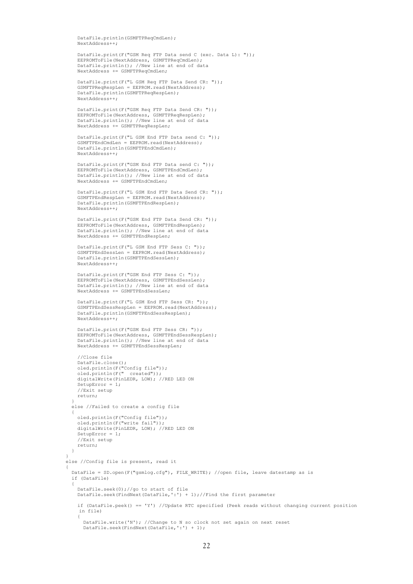DataFile.println(GSMFTPReqCmdLen); NextAddress++;

 DataFile.print(F("GSM Req FTP Data send C (exc. Data L): ")); EEPROMToFile(NextAddress, GSMFTPReqCmdLen); DataFile.println(); //New line at end of data NextAddress += GSMFTPReqCmdLen;

> DataFile.print(F("L GSM Req FTP Data Send CR: ")); GSMFTPReqRespLen = EEPROM.read(NextAddress); DataFile.println(GSMFTPReqRespLen);  $Next Add  $...$$

```
DataFile.print(F("GSM Req FTP Data Send CR: "));
 EEPROMToFile(NextAddress, GSMFTPReqRespLen);
       DataFile.println(); //New line at end of data
        NextAddress += GSMFTPReqRespLen;
```

```
 DataFile.print(F("L GSM End FTP Data send C: "));
 GSMFTPEndCmdLen = EEPROM.read(NextAddress);
DataFile.println(GSMFTPEndCmdLen);
 NextAddress++;
```

```
DataFile print(F("GSM End FTP Data send C: "1));
 EEPROMToFile(NextAddress, GSMFTPEndCmdLen);
 DataFile.println(); //New line at end of data
           NextAddress += GSMFTPEndCmdLen;
```

```
 DataFile.print(F("L GSM End FTP Data Send CR: "));
 GSMFTPEndRespLen = EEPROM.read(NextAddress);
DataFile.println(GSMFTPEndRespLen);
 NextAddress++;
```

```
 DataFile.print(F("GSM End FTP Data Send CR: "));
 EEPROMToFile(NextAddress, GSMFTPEndRespLen);
 DataFile.println(); //New line at end of data
          NextAddress += GSMFTPEndRespLen;
```

```
DataFile.print(F("L GSM End FTP Sess C: "));
 GSMFTPEndSessLen = EEPROM.read(NextAddress);
 DataFile.println(GSMFTPEndSessLen);
          NextAddress++;
```

```
 DataFile.print(F("GSM End FTP Sess C: "));
 EEPROMToFile(NextAddress, GSMFTPEndSessLen);
 DataFile.println(); //New line at end of data
 NextAddress += GSMFTPEndSessLen;
```

```
 DataFile.print(F("L GSM End FTP Sess CR: "));
 GSMFTPEndSessRespLen = EEPROM.read(NextAddress);
 DataFile.println(GSMFTPEndSessRespLen);
 NextAddress++;
```

```
 DataFile.print(F("GSM End FTP Sess CR: "));
EEPROMToFile(NextAddress, GSMFTPEndSessRespLen);
DataFile.println(); //New line at end of data
 NextAddress += GSMFTPEndSessRespLen;
```

```
 //Close file
         DataFile.close(); 
         oled.println(F("Config file"));
         oled.println(F(" created"));
         digitalWrite(PinLEDR, LOW); //RED LED ON
         SetupError = 1;
         //Exit setup
         return;
 } 
       else //Failed to create a config file 
 {
         oled.println(F("Config file"));
 oled.println(F("write fail"));
 digitalWrite(PinLEDR, LOW); //RED LED ON
         SetupError = 1;
         //Exit setup
      return;
 } 
 }
     else //Config file is present, read it
\left\{\begin{array}{ccc} \end{array}\right\} DataFile = SD.open(F("gsmlog.cfg"), FILE_WRITE); //open file, leave datestamp as is
       if (DataFile) 
 {
 DataFile.seek(0);//go to start of file
 DataFile.seek(FindNext(DataFile,':') + 1);//Find the first parameter
         if (DataFile.peek() == 'Y') //Update RTC specified (Peek reads without changing current position 
         in file)
         {
            DataFile.write('N'); //Change to N so clock not set again on next reset
           DataFile.seek(FindNext(DataFile,':') + 1);
```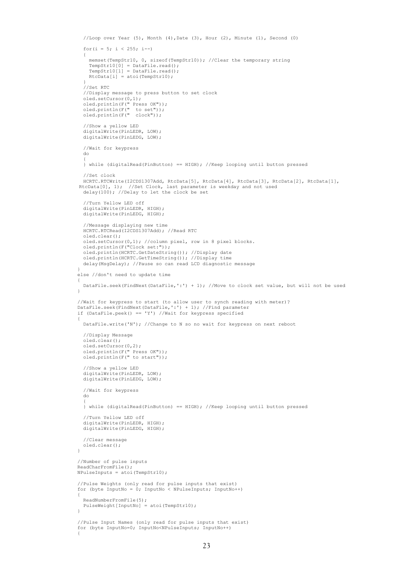```
 //Loop over Year (5), Month (4),Date (3), Hour (2), Minute (1), Second (0)
                for(i = 5; i < 255; i--)
\{ memset(TempStr10, 0, sizeof(TempStr10)); //Clear the temporary string
                   TempStr10[0] = DataFile.read();
 TempStr10[1] = DataFile.read();
 RtcData[i] = atoi(TempStr10);
 }
                 .<br>//Set RTC
                  //Display message to press button to set clock
 oled.setCursor(0,1);
 oled.println(F(" Press OK"));
 oled.println(F(" to set"));
 oled.println(F(" clock"));
                  //Show a yellow LED
                 digitalWrite(PinLEDR, LOW);
                 digitalWrite(PinLEDG, LOW);
                  //Wait for keypress
                 do
\{\frac{1}{k} while (digitalRead(PinButton) == HIGH); //Keep looping until button pressed
                  //Set clock
 HCRTC.RTCWrite(I2CDS1307Add, RtcData[5], RtcData[4], RtcData[3], RtcData[2], RtcData[1], 
RtcData[0], 1); //Set Clock, last parameter is weekday and not used
 delay(100); //Delay to let the clock be set
                  //Turn Yellow LED off
                digitalWrite(PinLEDR, HIGH);
                 digitalWrite(PinLEDG, HIGH);
 //Message displaying new time
 HCRTC.RTCRead(I2CDS1307Add); //Read RTC
                 oled.clear();
                 oled.setCursor(0,1); //column pixel, row in 8 pixel blocks.
                 oled.println(F("Clock set:"));
                 oled.println(HCRTC.GetDateString()); //Display date
                 oled.println(HCRTC.GetTimeString()); //Display time 
                 delay(MsgDelay); //Pause so can read LCD diagnostic message
 }
              else //don't need to update time
\left\{ \begin{array}{ccc} 0 & 0 & 0 \\ 0 & 0 & 0 \\ 0 & 0 & 0 \\ 0 & 0 & 0 \\ 0 & 0 & 0 \\ 0 & 0 & 0 \\ 0 & 0 & 0 \\ 0 & 0 & 0 \\ 0 & 0 & 0 \\ 0 & 0 & 0 \\ 0 & 0 & 0 \\ 0 & 0 & 0 \\ 0 & 0 & 0 \\ 0 & 0 & 0 & 0 \\ 0 & 0 & 0 & 0 \\ 0 & 0 & 0 & 0 \\ 0 & 0 & 0 & 0 \\ 0 & 0 & 0 & 0 & 0 \\ 0 & 0 & 0 & 0 & 0 \\ 0 & 0 & 0 & 0 & 0 DataFile.seek(FindNext(DataFile,':') + 1); //Move to clock set value, but will not be used
 }
 //Wait for keypress to start (to allow user to synch reading with meter)?
 DataFile.seek(FindNext(DataFile,':') + 1); //Find parameter
              if (DataFile.peek() == 'Y') //Wait for keypress specified
\left\{ \begin{array}{ccc} 0 & 0 & 0 \\ 0 & 0 & 0 \\ 0 & 0 & 0 \\ 0 & 0 & 0 \\ 0 & 0 & 0 \\ 0 & 0 & 0 \\ 0 & 0 & 0 \\ 0 & 0 & 0 \\ 0 & 0 & 0 \\ 0 & 0 & 0 \\ 0 & 0 & 0 \\ 0 & 0 & 0 \\ 0 & 0 & 0 \\ 0 & 0 & 0 & 0 \\ 0 & 0 & 0 & 0 \\ 0 & 0 & 0 & 0 \\ 0 & 0 & 0 & 0 \\ 0 & 0 & 0 & 0 & 0 \\ 0 & 0 & 0 & 0 & 0 \\ 0 & 0 & 0 & 0 & 0DataFile.write('N'); //Change to N so no wait for keypress on next reboot
                 //Display Message
                 oled.clear();
                 oled.setCursor(0,2);
 oled.println(F(" Press OK"));
 oled.println(F(" to start"));
                  //Show a yellow LED
                digitalWrite(PinLEDR, LOW);
                 digitalWrite(PinLEDG, LOW);
                 //Wait for keypress
                 do
\{ } while (digitalRead(PinButton) == HIGH); //Keep looping until button pressed
                 //Turn Yellow LED off
                 digitalWrite(PinLEDR, HIGH); 
                 digitalWrite(PinLEDG, HIGH);
                 //Clear message
                oled.clear();
 }
              //Number of pulse inputs
              ReadCharFromFile();
              NPulseInputs = atoi(TempStr10);
 //Pulse Weights (only read for pulse inputs that exist)
 for (byte InputNo = 0; InputNo < NPulseInputs; InputNo++)
\left\{ \begin{array}{ccc} 0 & 0 & 0 \\ 0 & 0 & 0 \\ 0 & 0 & 0 \\ 0 & 0 & 0 \\ 0 & 0 & 0 \\ 0 & 0 & 0 \\ 0 & 0 & 0 \\ 0 & 0 & 0 \\ 0 & 0 & 0 \\ 0 & 0 & 0 \\ 0 & 0 & 0 \\ 0 & 0 & 0 \\ 0 & 0 & 0 \\ 0 & 0 & 0 & 0 \\ 0 & 0 & 0 & 0 \\ 0 & 0 & 0 & 0 \\ 0 & 0 & 0 & 0 \\ 0 & 0 & 0 & 0 & 0 \\ 0 & 0 & 0 & 0 & 0 \\ 0 & 0 & 0 & 0 & 0 ReadNumberFromFile(5);
                PulseWeight[InputNo] = atoi(TempStr10);\overline{1} //Pulse Input Names (only read for pulse inputs that exist)
              for (byte InputNo=0; InputNo<NPulseInputs; InputNo++)
\left\{ \begin{array}{ccc} 0 & 0 & 0 \\ 0 & 0 & 0 \\ 0 & 0 & 0 \\ 0 & 0 & 0 \\ 0 & 0 & 0 \\ 0 & 0 & 0 \\ 0 & 0 & 0 \\ 0 & 0 & 0 \\ 0 & 0 & 0 \\ 0 & 0 & 0 \\ 0 & 0 & 0 \\ 0 & 0 & 0 \\ 0 & 0 & 0 \\ 0 & 0 & 0 & 0 \\ 0 & 0 & 0 & 0 \\ 0 & 0 & 0 & 0 \\ 0 & 0 & 0 & 0 \\ 0 & 0 & 0 & 0 & 0 \\ 0 & 0 & 0 & 0 & 0 \\ 0 & 0 & 0 & 0 & 0
```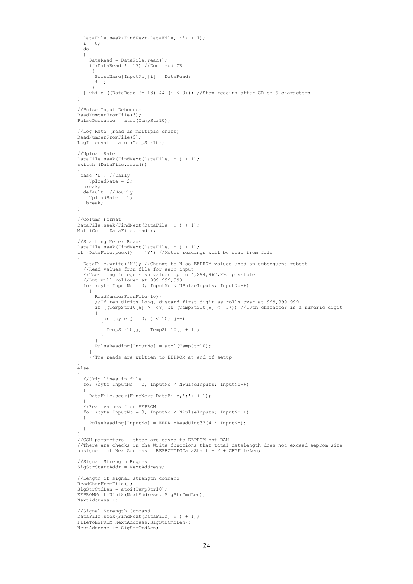```
 DataFile.seek(FindNext(DataFile,':') + 1);
            i = 0; do
             {
               DataRead = DataFile.read();
               if(DataRead != 13) //Dont add CR
\left\{ \begin{array}{cc} 0 & 0 & 0 \\ 0 & 0 & 0 \\ 0 & 0 & 0 \\ 0 & 0 & 0 \\ 0 & 0 & 0 \\ 0 & 0 & 0 \\ 0 & 0 & 0 \\ 0 & 0 & 0 \\ 0 & 0 & 0 \\ 0 & 0 & 0 \\ 0 & 0 & 0 \\ 0 & 0 & 0 \\ 0 & 0 & 0 & 0 \\ 0 & 0 & 0 & 0 \\ 0 & 0 & 0 & 0 \\ 0 & 0 & 0 & 0 & 0 \\ 0 & 0 & 0 & 0 & 0 \\ 0 & 0 & 0 & 0 & 0 \\ 0 & 0 & 0 & 0 & 0 \\ 0 & 0.<br>PulseName[InputNo][i] = DataRead;
                i++; }
          } while ((DataRead != 13) && (i < 9)); //Stop reading after CR or 9 characters
 }
           //Pulse Input Debounce
         ReadNumberFromFile(3);
         PulseDebounce = atoi(TempStr10);
           //Log Rate (read as multiple chars)
 ReadNumberFromFile(5); 
 LogInterval = atoi(TempStr10);
           //Upload Rate
          DataFile.seek(FindNext(DataFile,':') + 1);
         switch (DataFile read())
\left\{ \begin{array}{cc} 0 & 0 \\ 0 & 0 \end{array} \right\} case 'D': //Daily
              UploadRate = 2;
             break;
             default: //Hourly
               UploadRate = 1;
              break;
 }
          //Column Format
          DataFile.seek(FindNext(DataFile,':') + 1);
         MultiCo1 = DataFrameFile read();
           //Starting Meter Reads
         DataFile.seek(FindNext(DataFile,':') + 1);
          if (DataFile.peek() == 'Y') //Meter readings will be read from file
\left\{ \begin{array}{cc} 0 & 0 \\ 0 & 0 \end{array} \right\} DataFile.write('N'); //Change to N so EEPROM values used on subsequent reboot
             //Read values from file for each input
             //Uses long integers so values up to 4,294,967,295 possible
 //But will rollover at 999,999,999
 for (byte InputNo = 0; InputNo < NPulseInputs; InputNo++)
\{ ReadNumberFromFile(10); 
 //If ten digits long, discard first digit as rolls over at 999,999,999
 if ((TempStr10[9] >= 48) && (TempStr10[9] <= 57)) //10th character is a numeric digit
\{for (byte j = 0; j < 10; j++)All Contracts Example 1
                   TempStr10[j] = TempStr10[j + 1];
 }
 }
                 .<br>PulseReading[InputNo] = atol(TempStr10);
 }
                //The reads are written to EEPROM at end of setup
          }
          else
\left\{ \begin{array}{cc} 0 & 0 \\ 0 & 0 \end{array} \right\} //Skip lines in file
             for (byte InputNo = 0; InputNo < NPulseInputs; InputNo++)
\{ DataFile.seek(FindNext(DataFile,':') + 1);
 }
             //Read values from EEPROM
             for (byte InputNo = 0; InputNo < NPulseInputs; InputNo++)
\{.<br>PulseReading[InputNo] = EEPROMReadUint32(4 * InputNo);
 }
 }
           //GSM parameters - these are saved to EEPROM not RAM
 //There are checks in the Write functions that total datalength does not exceed eeprom size
 unsigned int NextAddress = EEPROMCFGDataStart + 2 + CFGFileLen;
           //Signal Strength Request
         SigStrStartAddr = NextAddress;
          //Length of signal strength command
          ReadCharFromFile();
         SigStrCmdLen = atoi(TempStr10);
         EEPROMWriteUint8(NextAddress, SigStrCmdLen);
          NextAddress++;
 //Signal Strength Command
 DataFile.seek(FindNext(DataFile,':') + 1);
          FileToEEPROM(NextAddress,SigStrCmdLen);
          NextAddress += SigStrCmdLen;
```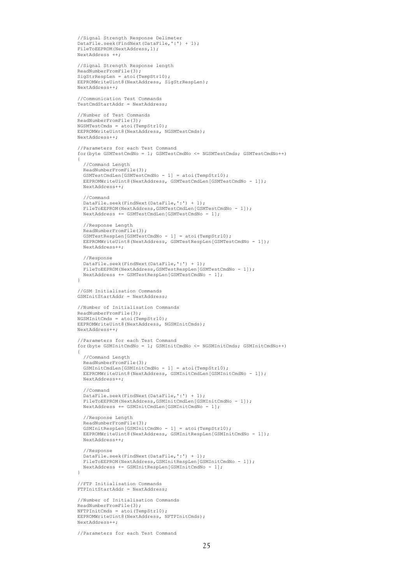```
 //Signal Strength Response Delimeter
          DataFile.seek(FindNext(DataFile,':') + 1);
          FileToEEPROM(NextAddress,1);
          NextAddress ++;
          //Signal Strength Response length
         ReadNumberFromFile(3);
         SiaStrResolen = atoi(TemoStr10): EEPROMWriteUint8(NextAddress, SigStrRespLen);
          NextAddress++;
          //Communication Test Commands
          TestCmdStartAddr = NextAddress;
          //Number of Test Commands
         ReadNumberFromFile(3);
         NGSMTestCmds = atoi(TempStr10);EEPROMWriteUint8(NextAddress, NGSMTestCmds);
          NextAddress++;
          //Parameters for each Test Command
          for(byte GSMTestCmdNo = 1; GSMTestCmdNo <= NGSMTestCmds; GSMTestCmdNo++)
\left\{ \begin{array}{cc} 0 & 0 \\ 0 & 0 \end{array} \right\} //Command Length
            ReadNumberFromFile(3);
           GSMTestCmdLen[GSMTestCmdNo - 1] = atoi(TempStr10);
           EEPROMWriteUint8(NextAddress, GSMTestCmdLen[GSMTestCmdNo - 1]);
            NextAddress++;
            //Command
            DataFile.seek(FindNext(DataFile,':') + 1);
           FileToEEPROM(NextAddress,GSMTestCmdLen[GSMTestCmdNo - 1]);
            NextAddress += GSMTestCmdLen[GSMTestCmdNo - 1];
            //Response Length
            ReadNumberFromFile(3);
           GSMTestResplement(GSMTestCmdNo - 1) = atoi(TempStr10);EEPROMWriteUint8(NextAddress, GSMTestRespLen[GSMTestCmdNo - 1]);
            NextAddress++;
            //Response
            DataFile.seek(FindNext(DataFile,':') + 1);
           FileToEEPROM(NextAddress,GSMTestRespLen[GSMTestCmdNo - 1]);
            NextAddress += GSMTestRespLen[GSMTestCmdNo - 1];
 }
          //GSM Initialisation Commands
          GSMInitStartAddr = NextAddress;
          //Number of Initialisation Commands
          ReadNumberFromFile(3);
 NGSMInitCmds = atoi(TempStr10); 
 EEPROMWriteUint8(NextAddress, NGSMInitCmds);
          NextAddress++;
          //Parameters for each Test Command
          for(byte GSMInitCmdNo = 1; GSMInitCmdNo <= NGSMInitCmds; GSMInitCmdNo++)
\left\{ \begin{array}{ccc} 0 & 0 & 0 \\ 0 & 0 & 0 \\ 0 & 0 & 0 \\ 0 & 0 & 0 \\ 0 & 0 & 0 \\ 0 & 0 & 0 \\ 0 & 0 & 0 \\ 0 & 0 & 0 \\ 0 & 0 & 0 \\ 0 & 0 & 0 \\ 0 & 0 & 0 \\ 0 & 0 & 0 \\ 0 & 0 & 0 \\ 0 & 0 & 0 & 0 \\ 0 & 0 & 0 & 0 \\ 0 & 0 & 0 & 0 \\ 0 & 0 & 0 & 0 \\ 0 & 0 & 0 & 0 & 0 \\ 0 & 0 & 0 & 0 & 0 \\ 0 & 0 & 0 & 0 & 0 //Command Length
            ReadNumberFromFile(3);
           GSMInitCmdLen[GSMInitCmdNo - 1] = atoi(TempStr10);
           EEPROMWriteUint8(NextAddress, GSMInitCmdLen[GSMInitCmdNo - 1]);
            NextAddress++;
            //Command
            DataFile.seek(FindNext(DataFile,':') + 1);
            FileToEEPROM(NextAddress,GSMInitCmdLen[GSMInitCmdNo - 1]);
            NextAddress += GSMInitCmdLen[GSMInitCmdNo - 1];
            //Response Length
            ReadNumberFromFile(3);
           GSMInitRespLen[GSMInitCmdNo - 1] = atoi(TempStr10);
           EEPROMWriteUint8(NextAddress, GSMInitRespLen[GSMInitCmdNo - 1]);
            NextAddress++;
            //Response
           DataFile.seek(FindNext(DataFile,':') + 1);
           FileToEEPROM(NextAddress,GSMInitRespLen[GSMInitCmdNo - 1]);
           NextAddress += GSMInitRespLen[GSMInitCmdNo - 1];
         \overline{1} //FTP Initialisation Commands
          FTPInitStartAddr = NextAddress;
          //Number of Initialisation Commands
          ReadNumberFromFile(3);
         NFTPInitCmds = atoi(TempStr10); EEPROMWriteUint8(NextAddress, NFTPInitCmds);
          NextAddress++;
```

```
 //Parameters for each Test Command
```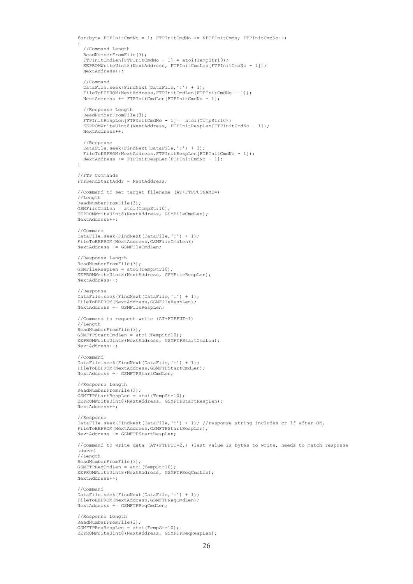```
 for(byte FTPInitCmdNo = 1; FTPInitCmdNo <= NFTPInitCmds; FTPInitCmdNo++)
\left\{ \begin{array}{ccc} 0 & 0 & 0 \\ 0 & 0 & 0 \\ 0 & 0 & 0 \\ 0 & 0 & 0 \\ 0 & 0 & 0 \\ 0 & 0 & 0 \\ 0 & 0 & 0 \\ 0 & 0 & 0 \\ 0 & 0 & 0 \\ 0 & 0 & 0 \\ 0 & 0 & 0 \\ 0 & 0 & 0 \\ 0 & 0 & 0 \\ 0 & 0 & 0 & 0 \\ 0 & 0 & 0 & 0 \\ 0 & 0 & 0 & 0 \\ 0 & 0 & 0 & 0 \\ 0 & 0 & 0 & 0 & 0 \\ 0 & 0 & 0 & 0 & 0 \\ 0 & 0 & 0 & 0 & 0 //Command Length
            ReadNumberFromFile(3);
            FTPInitCmdLen[FTPInitCmdNo - 1] = atoi(TempStr10);
           EEPROMWriteUint8(NextAddress, FTPInitCmdLen[FTPInitCmdNo - 1]);
            NextAddress++;
            //Command
           DataFile.seek(FindNext(DataFile,':') + 1);
           FileToEEPROM(NextAddress, FTPInitCmdLen[FTPInitCmdNo - 1]);
            NextAddress += FTPInitCmdLen[FTPInitCmdNo - 1];
            //Response Length
            ReadNumberFromFile(3);
 FTPInitRespLen[FTPInitCmdNo - 1] = atoi(TempStr10);
 EEPROMWriteUint8(NextAddress, FTPInitRespLen[FTPInitCmdNo - 1]);
            NextAddress++;
            //Response
            DataFile.seek(FindNext(DataFile,':') + 1);
           FileToEEPROM(NextAddress,FTPInitRespLen[FTPInitCmdNo - 1]);
         NextAddress += FTPInitRespLen[FTPInitCmdNo - 1];
 }
          //FTP Commands
          FTPSendStartAddr = NextAddress;
          //Command to set target filename (AT+FTPPUTNAME=)
          //Length
          ReadNumberFromFile(3);
          GSMFileCmdLen = atoi(TempStr10);
          EEPROMWriteUint8(NextAddress, GSMFileCmdLen);
         NextAddress++;
          //Command
          DataFile.seek(FindNext(DataFile,':') + 1);
         FileToEEPROM(NextAddress,GSMFileCmdLen);
          NextAddress += GSMFileCmdLen;
          //Response Length
        ReadNumberFromFile(3);
         GSMFileRespLen = atoi(TempStr10);
         EEPROMWriteUint8(NextAddress, GSMFileRespLen);
          NextAddress++;
          //Response
          DataFile.seek(FindNext(DataFile,':') + 1);
          FileToEEPROM(NextAddress,GSMFileRespLen);
          NextAddress += GSMFileRespLen;
          //Command to request write (AT+FTPPUT=1)
          //Length
         ReadNumberFromFile(3);
          GSMFTPStartCmdLen = atoi(TempStr10);
         EEPROMWriteUint8(NextAddress, GSMFTPStartCmdLen);
          NextAddress++;
          //Command
         DataFile.seek(FindNext(DataFile,':') + 1);
          FileToEEPROM(NextAddress,GSMFTPStartCmdLen);
          NextAddress += GSMFTPStartCmdLen;
          //Response Length
          ReadNumberFromFile(3);
         GSMFTPStartRespLen = atoi(TempStr10);
         EEPROMWriteUint8(NextAddress, GSMFTPStartRespLen);
         NextAddress++;
          //Response
          DataFile.seek(FindNext(DataFile,':') + 1); //response string includes cr-lf after OK,
         FileToEEPROM(NextAddress,GSMFTPStartRespLen);
        NextAddress += GSMFTPStartRespLen;
          //command to write data (AT+FTPPUT=2,) (last value is bytes to write, needs to match response
         above)
          //Length
          ReadNumberFromFile(3);
         GSMFTPRegCmdLen = atoi(TempStr10); EEPROMWriteUint8(NextAddress, GSMFTPReqCmdLen);
         NextAddress++;
          //Command
          DataFile.seek(FindNext(DataFile,':') + 1);
          FileToEEPROM(NextAddress,GSMFTPReqCmdLen);
          NextAddress += GSMFTPReqCmdLen;
          //Response Length
         ReadNumberFromFile(3);
          GSMFTPReqRespLen = atoi(TempStr10);
          EEPROMWriteUint8(NextAddress, GSMFTPReqRespLen);
```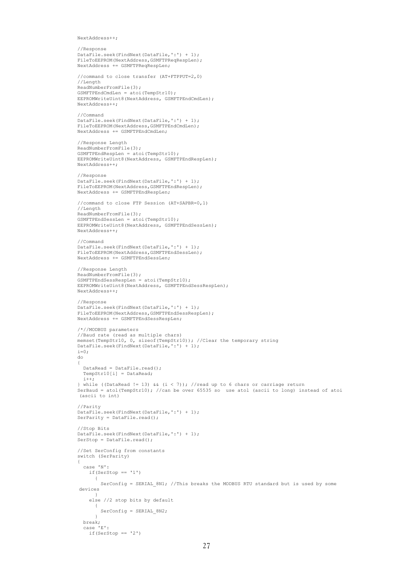NextAddress++;

```
 //Response
           DataFile.seek(FindNext(DataFile,':') + 1); 
           FileToEEPROM(NextAddress,GSMFTPReqRespLen);
           NextAddress += GSMFTPReqRespLen;
           //command to close transfer (AT+FTPPUT=2,0)
           //Length
          ReadNumberFromFile(3);
 GSMFTPEndCmdLen = atoi(TempStr10);
 EEPROMWriteUint8(NextAddress, GSMFTPEndCmdLen);
           NextAddress++;
           //Command
          DataFile.seek(FindNext(DataFile,':') + 1);
           FileToEEPROM(NextAddress,GSMFTPEndCmdLen);
          NextAddress += GSMFTPEndCmdLen:
           //Response Length
          ReadNumberFromFile(3);
           GSMFTPEndRespLen = atoi(TempStr10);
           EEPROMWriteUint8(NextAddress, GSMFTPEndRespLen);
           NextAddress++;
           //Response
          DataFile.seek(FindNext(DataFile,':') + 1);
          FileToEEPROM(NextAddress,GSMFTPEndRespLen);
           NextAddress += GSMFTPEndRespLen;
           //command to close FTP Session (AT+SAPBR=0,1)
           //Length
          ReadNumberFromFile(3);
           GSMFTPEndSessLen = atoi(TempStr10);
           EEPROMWriteUint8(NextAddress, GSMFTPEndSessLen);
           NextAddress++;
           //Command
          DataFile.seek(FindNext(DataFile,':') + 1);
           FileToEEPROM(NextAddress,GSMFTPEndSessLen);
           NextAddress += GSMFTPEndSessLen;
           //Response Length
          ReadNumberFromFile(3);
           GSMFTPEndSessRespLen = atoi(TempStr10);
           EEPROMWriteUint8(NextAddress, GSMFTPEndSessRespLen);
           NextAddress++;
           //Response
           DataFile.seek(FindNext(DataFile,':') + 1);
           FileToEEPROM(NextAddress,GSMFTPEndSessRespLen);
           NextAddress += GSMFTPEndSessRespLen;
           /*//MODBUS parameters
           //Baud rate (read as multiple chars)
          memset(TempStr10, 0, sizeof(TempStr10)); //Clear the temporary string
           DataFile.seek(FindNext(DataFile,':') + 1);
          i=0;
           do
\left\{ \begin{array}{ccc} 0 & 0 & 0 \\ 0 & 0 & 0 \\ 0 & 0 & 0 \\ 0 & 0 & 0 \\ 0 & 0 & 0 \\ 0 & 0 & 0 \\ 0 & 0 & 0 \\ 0 & 0 & 0 \\ 0 & 0 & 0 \\ 0 & 0 & 0 \\ 0 & 0 & 0 \\ 0 & 0 & 0 \\ 0 & 0 & 0 \\ 0 & 0 & 0 & 0 \\ 0 & 0 & 0 & 0 \\ 0 & 0 & 0 & 0 \\ 0 & 0 & 0 & 0 \\ 0 & 0 & 0 & 0 & 0 \\ 0 & 0 & 0 & 0 & 0 \\ 0 & 0 & 0 & 0 & 0 DataRead = DataFile.read();
             TempStr10[i] = DataRead;
            \frac{1}{1} } while ((DataRead != 13) && (i < 7)); //read up to 6 chars or carriage return
 SerBaud = atol(TempStr10); //can be over 65535 so use atol (ascii to long) instead of atoi
           (ascii to int)
           //Parity
           DataFile.seek(FindNext(DataFile,':') + 1);
           SerParity = DataFile.read();
           //Stop Bits
           DataFile.seek(FindNext(DataFile,':') + 1);
          SerStop = DataFile.read();
           //Set SerConfig from constants
           switch (SerParity)
\left\{ \begin{array}{ccc} 0 & 0 & 0 \\ 0 & 0 & 0 \\ 0 & 0 & 0 \\ 0 & 0 & 0 \\ 0 & 0 & 0 \\ 0 & 0 & 0 \\ 0 & 0 & 0 \\ 0 & 0 & 0 \\ 0 & 0 & 0 \\ 0 & 0 & 0 \\ 0 & 0 & 0 \\ 0 & 0 & 0 \\ 0 & 0 & 0 \\ 0 & 0 & 0 & 0 \\ 0 & 0 & 0 & 0 \\ 0 & 0 & 0 & 0 \\ 0 & 0 & 0 & 0 \\ 0 & 0 & 0 & 0 & 0 \\ 0 & 0 & 0 & 0 & 0 \\ 0 & 0 & 0 & 0 & 0 case 'N':
               if(SerStop == '1')\{SerConfig = SERIAL 8N1; //This breaks the MODBUS RTU standard but is used by some
           devices
 }
                else //2 stop bits by default
 {
                     SerConfig = SERIAL_8N2;
 }
              break;
             case 'E':
               if(SerStop == '2')
```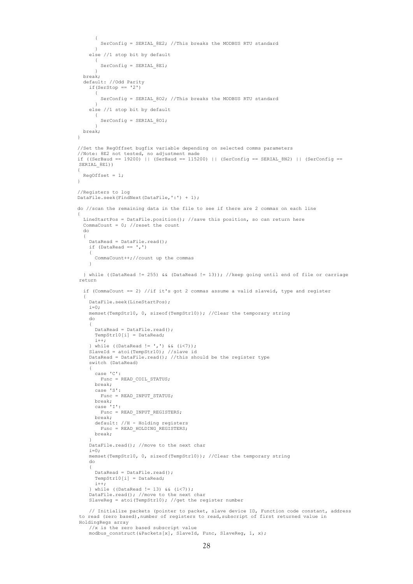```
 {
                         SerConfig = SERIAL 8E2; //This breaks the MODBUS RTU standard
 }
                   else //1 stop bit by default
\{ SerConfig = SERIAL_8E1;
 }
                break;
                default: //Odd Parity
                   if(SerStop == '2')\{ SerConfig = SERIAL_8O2; //This breaks the MODBUS RTU standard
 }
                   else //1 stop bit by default
\{SerConfig = SERIAL 801;
 }
                break;
             }
             //Set the RegOffset bugfix variable depending on selected comms parameters
             //Note: 8E2 not tested, no adjustment made
            if ((SerBaud == 19200) || (SerBaud == 115200) || (SerConfig == SERIAL 8N2) || (SerConfig ==
             SERIAL 8E1))
             {
            RegOffset = 1;
 }
             //Registers to log
             DataFile.seek(FindNext(DataFile,':') + 1);
             do //scan the remaining data in the file to see if there are 2 commas on each line
\left\{ \begin{array}{ccc} 0 & 0 & 0 \\ 0 & 0 & 0 \\ 0 & 0 & 0 \\ 0 & 0 & 0 \\ 0 & 0 & 0 \\ 0 & 0 & 0 \\ 0 & 0 & 0 \\ 0 & 0 & 0 \\ 0 & 0 & 0 \\ 0 & 0 & 0 \\ 0 & 0 & 0 \\ 0 & 0 & 0 \\ 0 & 0 & 0 \\ 0 & 0 & 0 & 0 \\ 0 & 0 & 0 & 0 \\ 0 & 0 & 0 & 0 \\ 0 & 0 & 0 & 0 \\ 0 & 0 & 0 & 0 & 0 \\ 0 & 0 & 0 & 0 & 0 \\ 0 & 0 & 0 & 0 & 0LineStartPos = DataFile.position(); //save this position, so can return here
               CommaCount = 0; //reset the count
                do
                {
                  DataRead = DataFile.read();
                  if (DataRead == ',')\left\{ \begin{array}{cc} 0 & 0 & 0 \\ 0 & 0 & 0 \\ 0 & 0 & 0 \\ 0 & 0 & 0 \\ 0 & 0 & 0 \\ 0 & 0 & 0 \\ 0 & 0 & 0 \\ 0 & 0 & 0 \\ 0 & 0 & 0 \\ 0 & 0 & 0 \\ 0 & 0 & 0 \\ 0 & 0 & 0 & 0 \\ 0 & 0 & 0 & 0 \\ 0 & 0 & 0 & 0 \\ 0 & 0 & 0 & 0 & 0 \\ 0 & 0 & 0 & 0 & 0 \\ 0 & 0 & 0 & 0 & 0 \\ 0 & 0 & 0 & 0 & 0 \\ 0 & 0 & 0 & 0 & 0 CommaCount++;//count up the commas
 }
                } while ((DataRead != 255) && (DataRead != 13)); //keep going until end of file or carriage 
             return
                if (CommaCount == 2) //if it's got 2 commas assume a valid slaveid, type and register
\{ DataFile.seek(LineStartPos);
                    i=0;
                   memset(TempStr10, 0, sizeof(TempStr10)); //Clear the temporary string
                   do
\{DataRead = DataFile.read();
                     TempStr10[i] = DataRead;
                     i++;
 } while ((DataRead != ',') && (i<7));
 SlaveId = atoi(TempStr10); //slave id
 DataRead = DataFile.read(); //this should be the register type
                   switch (DataRead)
\left\{ \begin{array}{ccc} 0 & 0 & 0 \\ 0 & 0 & 0 \\ 0 & 0 & 0 \\ 0 & 0 & 0 \\ 0 & 0 & 0 \\ 0 & 0 & 0 \\ 0 & 0 & 0 \\ 0 & 0 & 0 \\ 0 & 0 & 0 \\ 0 & 0 & 0 \\ 0 & 0 & 0 \\ 0 & 0 & 0 \\ 0 & 0 & 0 \\ 0 & 0 & 0 & 0 \\ 0 & 0 & 0 & 0 \\ 0 & 0 & 0 & 0 \\ 0 & 0 & 0 & 0 & 0 \\ 0 & 0 & 0 & 0 & 0 \\ 0 & 0 & 0 & 0 & 0 \\ 0 & 0 & 0 & 0 case 'C':
                       Func = READ COIL STATUS;
 break;
 case 'S':
                       Func = READ_INPUT_STATUS;
                      break;
                      case 'I':
                        Func = READ_INPUT_REGISTERS;
                      break;
 default: //H - Holding registers
 Func = READ_HOLDING_REGISTERS;
                      break;
 }
                   DataFile.read(); //move to the next char
                  i=0:
                  memset(TempStr10, 0, sizeof(TempStr10)); //Clear the temporary string
                   do
\left\{ \begin{array}{ccc} 0 & 0 & 0 \\ 0 & 0 & 0 \\ 0 & 0 & 0 \\ 0 & 0 & 0 \\ 0 & 0 & 0 \\ 0 & 0 & 0 \\ 0 & 0 & 0 \\ 0 & 0 & 0 \\ 0 & 0 & 0 \\ 0 & 0 & 0 \\ 0 & 0 & 0 \\ 0 & 0 & 0 \\ 0 & 0 & 0 \\ 0 & 0 & 0 & 0 \\ 0 & 0 & 0 & 0 \\ 0 & 0 & 0 & 0 \\ 0 & 0 & 0 & 0 & 0 \\ 0 & 0 & 0 & 0 & 0 \\ 0 & 0 & 0 & 0 & 0 \\ 0 & 0 & 0 & 0DataRead = DataFile.read();
                      TempStr10[i] = DataRead;
                     i++;
                    } while ((DataRead != 13) && (i<7));
                    DataFile.read(); //move to the next char
                  SlaveReg = atoi(TempStr10); //get the register number
 // Initialize packets (pointer to packet, slave device ID, Function code constant, address 
to read (zero based),number of registers to read,subscript of first returned value in 
             HoldingRegs array
```
 //x is the zero based subscript value modbus\_construct(&Packets[x], SlaveId, Func, SlaveReg, 1, x);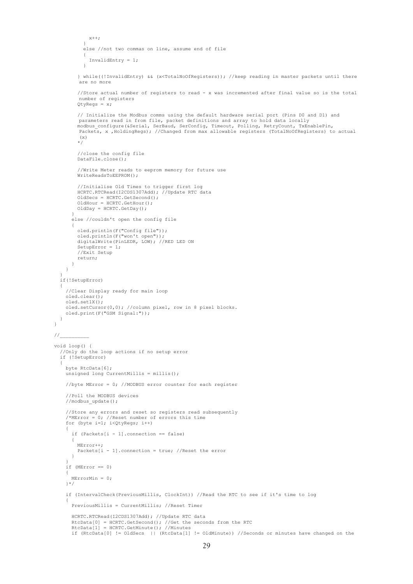```
x++; }
           else //not two commas on line, assume end of file
           {
          InvalidEntry = 1;
 }
         } while((!InvalidEntry) && (x<TotalNoOfRegisters)); //keep reading in master packets until there 
        are no more
         //Store actual number of registers to read - x was incremented after final value so is the total 
         number of registers
        OtyReqs = x; // Initialize the Modbus comms using the default hardware serial port (Pins D0 and D1) and 
        parameters read in from file, packet definitions and array to hold data locally
        modbus_configure(&Serial, SerBaud, SerConfig, Timeout, Polling, RetryCount, TxEnablePin,
        Packets, x , HoldingRegs); //Changed from max allowable registers (TotalNoOfRegisters) to actual
(\mathbf{x}) //close the config file 
         DataFile.close();
         //Write Meter reads to eeprom memory for future use
        WriteReadsToEEPROM();
         //Initialise Old Times to trigger first log
         HCRTC.RTCRead(I2CDS1307Add); //Update RTC data
        O1dSecs = HCRTC.GetSecond();
        oldHour = HCRTC.GetHour();
        OldDay = HCRTC.GetDay();
 }
       else //couldn't open the config file
 {
         oled.println(F("Config file"));
 oled.println(F("won't open"));
 digitalWrite(PinLEDR, LOW); //RED LED ON
        SetupError = 1; //Exit Setup
         return;
      }
    }
  if(!SetupError)
     //Clear Display ready for main loop 
     oled.clear();
     oled.set1X();
     oled.setCursor(0,0); //column pixel, row in 8 pixel blocks.
    oled.print(F("GSM Signal:"));
void loop() {
   //Only do the loop actions if no setup error
  if (!SetupError)
    byte RtcData[6];
    unsigned long CurrentMillis = millis();
     //byte MError = 0; //MODBUS error counter for each register
     //Poll the MODBUS devices
    //modbus update();
     //Store any errors and reset so registers read subsequently
    /*MENT = 0; //Reset number of errors this time for (byte i=1; i<QtyRegs; i++) 
\left\{\begin{array}{ccc} \end{array}\right\}if (Packets[i - 1].connection == false)
       {
         MError++;
        Packets[i - 1]. connection = true; //Reset the error
      \overline{1} }
     if (MError == 0)
     {
      MErrorMin = 0; 
     }*/
     if (IntervalCheck(PreviousMillis, ClockInt)) //Read the RTC to see if it's time to log
\left\{\begin{array}{ccc} \end{array}\right\} PreviousMillis = CurrentMillis; //Reset Timer
       HCRTC.RTCRead(I2CDS1307Add); //Update RTC data
 RtcData[0] = HCRTC.GetSecond(); //Get the seconds from the RTC
 RtcData[1] = HCRTC.GetMinute(); //Minutes
       if (RtcData[0] != OldSecs || (RtcData[1] != OldMinute)) //Seconds or minutes have changed on the
```
 $\rightarrow$ 

 $\overline{\phantom{a}}$ 

 } }  $\hspace{-.07cm}\mathcal{N}$ 

 $\overline{\phantom{a}}$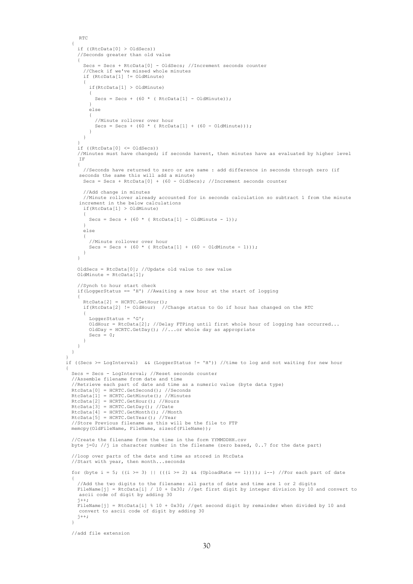```
RTC
       {
          if ((RtcData[0] > OldSecs)) 
          //Seconds greater than old value
\left\{ \begin{array}{cc} 0 & 0 \\ 0 & 0 \end{array} \right\} Secs = Secs + RtcData[0] - OldSecs; //Increment seconds counter
 //Check if we've missed whole minutes
 if (RtcData[1] != OldMinute)
 {
              if(RtcData[1] > OldMinute)
              {
               Secs = Secs + (60 * (Rtclat1) - 01dMinute)); }
              else
\left\{ \begin{array}{ccc} 0 & 0 & 0 \\ 0 & 0 & 0 \\ 0 & 0 & 0 \\ 0 & 0 & 0 \\ 0 & 0 & 0 \\ 0 & 0 & 0 \\ 0 & 0 & 0 \\ 0 & 0 & 0 \\ 0 & 0 & 0 \\ 0 & 0 & 0 \\ 0 & 0 & 0 \\ 0 & 0 & 0 \\ 0 & 0 & 0 \\ 0 & 0 & 0 & 0 \\ 0 & 0 & 0 & 0 \\ 0 & 0 & 0 & 0 \\ 0 & 0 & 0 & 0 & 0 \\ 0 & 0 & 0 & 0 & 0 \\ 0 & 0 & 0 & 0 & 0 \\ 0 & 0 & 0 & 0 //Minute rollover over hour
             Secs = Secs + (60 * ( RtcData[1] + (60 - OldMinute))), }
            }
 }
         if (RtcData[0] \leq OldSecs)) //Minutes must have changed; if seconds havent, then minutes have as evaluated by higher level 
         IF
          {
            //Seconds have returned to zero or are same : add difference in seconds through zero (if 
         seconds the same this will add a minute)
           Secs = Secs + RtcData[0] + (60 - OldSecs); //Increment seconds counter
            //Add change in minutes
            //Minute rollover already accounted for in seconds calculation so subtract 1 from the minute 
increment in the below calculations
 if(RtcData[1] > OldMinute)
\{Secs = Secs + (60 * (Rtclata[1] - OldMinute - 1)); }
            else
\{ //Minute rollover over hour
             Secs = Secs + (60 * ( RtcData[1] + (60 - OldMinute - 1)));
            }
         \lambda OldSecs = RtcData[0]; //Update old value to new value
          OldMinute = RtcData[1];
          //Synch to hour start check
         if(LoggerStatus == 'H') //Awaiting a new hour at the start of logging
\left\{ \begin{array}{cc} 0 & 0 \\ 0 & 0 \end{array} \right\}RtcData[2] = HCRTC.GetHour();
            if(RtcData[2] != OldHour) //Change status to Go if hour has changed on the RTC
\{ LoggerStatus = 'G';
             OldHour = RtcData[2]; //Delay FTPing until first whole hour of logging has occurred...
              OldDay = HCRTC.GetDay(); //...or whole day as appropriate
             Secs = 0; }
         }
       }
     if ((Secs >= LogInterval) && (LoggerStatus != 'H')) //time to log and not waiting for new hour
       Secs = Secs - LogInterval; //Reset seconds counter
       //Assemble filename from date and time
        //Retrieve each part of date and time as a numeric value (byte data type)
 RtcData[0] = HCRTC.GetSecond(); //Seconds
 RtcData[1] = HCRTC.GetMinute(); //Minutes
       RtcData[2] = HCRTC.GetHour(); //Hours
      RtcData[3] = HCRTC.GetDay(); //Date RtcData[4] = HCRTC.GetMonth(); //Month
       RtcData[5] = HCRTC.GetYear(); //Year
       //Store Previous filename as this will be the file to FTP
      memcpy(OldFileName, FileName, sizeof(FileName));
       //Create the filename from the time in the form YYMMDDHH.csv
      byte j=0; //j is character number in the filename (zero based, 0..7 for the date part)
       //loop over parts of the date and time as stored in RtcData
       //Start with year, then month...seconds
      for (byte i = 5; ((i >= 3) || (((i >= 2) && (UploadRate == 1)))); i--) //For each part of date
 {
 //Add the two digits to the filename: all parts of date and time are 1 or 2 digits
 FileName[j] = RtcData[i] / 10 + 0x30; //get first digit by integer division by 10 and convert to 
         ascii code of digit by adding 30
         j++;FileName[j] = RtcData[i] % 10 + 0x30; //get second digit by remainder when divided by 10 and
         convert to ascii code of digit by adding 30
         j++; }
       //add file extension
```
}

 $\left\{\begin{array}{ccc} \end{array}\right\}$ 

```
30
```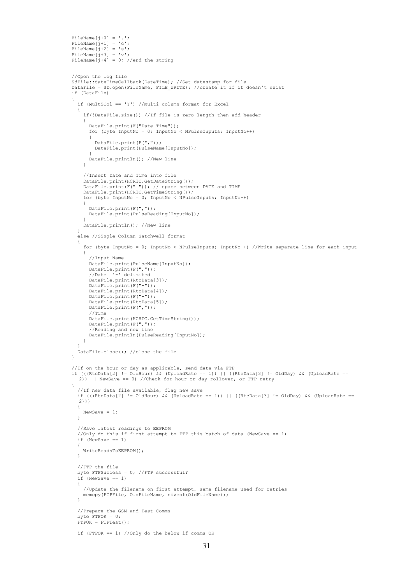```
FileName[j+0] = '.';
FileName[j+1] = 'c';FileName[j+2] = 's';FileName[j+3] = 'v';FileName[j+4] = 0; //end the string
       //Open the log file 
       SdFile::dateTimeCallback(DateTime); //Set datestamp for file
      DataFile = SD.open(FileName, FILE WRITE); //create it if it doesn't exist
       if (DataFile)
 {
         if (MultiCol == 'Y') //Multi column format for Excel
         {
           if(!DataFile.size()) //If file is zero length then add header
           {
             DataFile.print(F("Date Time"));
             for (byte InputNo = 0; InputNo < NPulseInputs; InputNo++)
\{ DataFile.print(F(","));
               DataFile.print(PulseName[InputNo]);
 }
          DataFile.println(); //New line
 }
           //Insert Date and Time into file
           DataFile.print(HCRTC.GetDateString());
 DataFile.print(F(" ")); // space between DATE and TIME
 DataFile.print(HCRTC.GetTimeString());
           for (byte InputNo = 0; InputNo < NPulseInputs; InputNo++)
\{ DataFile.print(F(","));
             DataFile.print(PulseReading[InputNo]);
 }
        DataFile.println(); //New line
 }
         else //Single Column Satchwell format
\left\{ \begin{array}{cc} 0 & 0 \\ 0 & 0 \end{array} \right\} for (byte InputNo = 0; InputNo < NPulseInputs; InputNo++) //Write separate line for each input
           {
             //Input Name
             DataFile.print(PulseName[InputNo]);
            DataFile.print(F(","));
             //Date '-' delimited
             DataFile.print(RtcData[3]);
             DataFile.print(F("-")); 
             DataFile.print(RtcData[4]);
             DataFile.print(F("-")); 
            DataFile.print(RtcData[5]);
            DataFile.print(F(","));
             //Time
             DataFile.print(HCRTC.GetTimeString());
DataFile.print(F(","));<br>//Reading and new line
             DataFile.println(PulseReading[InputNo]);
           }
 }
         DataFile.close(); //close the file
       }
 //If on the hour or day as applicable, send data via FTP
 if (((RtcData[2] != OldHour) && (UploadRate == 1)) || ((RtcData[3] != OldDay) && (UploadRate == 
        2)) || NewSave == 0) //Check for hour or day rollover, or FTP retry
 {
         //If new data file available, flag new save
         if (((RtcData[2] != OldHour) && (UploadRate == 1)) || ((RtcData[3] != OldDay) && (UploadRate == 
        2))
         {
          NewSave = 1;
         }
         //Save latest readings to EEPROM
        //Only do this if first attempt to FTP this batch of data (NewSave == 1)
        if (Newsave == 1) {
           WriteReadsToEEPROM();
         }
         //FTP the file
         byte FTPSuccess = 0; //FTP successful?
        if (NewSave == 1)\left\{ \begin{array}{cc} 0 & 0 \\ 0 & 0 \end{array} \right\} //Update the filename on first attempt, same filename used for retries
         memcpy(FTPFile, OldFileName, sizeof(OldFileName));
 }
 //Prepare the GSM and Test Comms
 byte FTPOK = 0;
        FTPOK = FTPTest();
         if (FTPOK == 1) //Only do the below if comms OK
```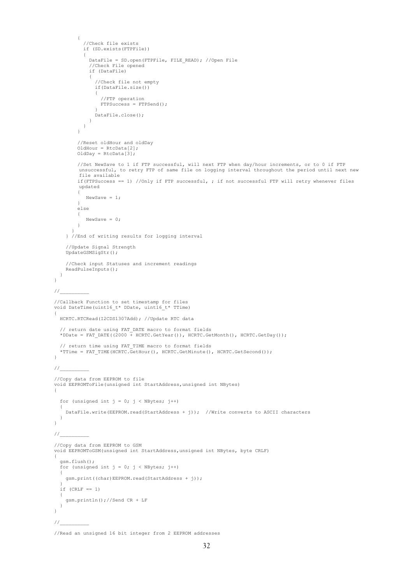```
\left\{ \begin{array}{ccc} 0 & 0 & 0 \\ 0 & 0 & 0 \\ 0 & 0 & 0 \\ 0 & 0 & 0 \\ 0 & 0 & 0 \\ 0 & 0 & 0 \\ 0 & 0 & 0 \\ 0 & 0 & 0 \\ 0 & 0 & 0 \\ 0 & 0 & 0 \\ 0 & 0 & 0 \\ 0 & 0 & 0 \\ 0 & 0 & 0 \\ 0 & 0 & 0 & 0 \\ 0 & 0 & 0 & 0 \\ 0 & 0 & 0 & 0 \\ 0 & 0 & 0 & 0 \\ 0 & 0 & 0 & 0 & 0 \\ 0 & 0 & 0 & 0 & 0 \\ 0 & 0 & 0 & 0 & 0 //Check file exists 
               if (SD.exists(FTPFile))
\{ DataFile = SD.open(FTPFile, FILE_READ); //Open File
                  //Check File opened
                  if (DataFile)
\{ //Check file not empty
                     if(DataFile.size())
\{ //FTP operation
                       FTPSuccess = FTPSend();
 } 
                   .<br>DataFile.close();
                 } 
              }
           \lambda //Reset oldHour and oldDay
           OldHour = RtcData[2];
            OldDay = RtcData[3];
 //Set NewSave to 1 if FTP successful, will next FTP when day/hour increments, or to 0 if FTP 
unsuccessful, to retry FTP of same file on logging interval throughout the period until next new 
            file available
           if(FTPSuccess == 1) //Only if FTP successful, ; if not successful FTP will retry whenever files
            updated
\left\{ \begin{array}{cc} 0 & 0 \\ 0 & 0 \end{array} \right\} NewSave = 1;
 } 
            else
            {
                NewSave = 0;
            }
 }
      } //End of writing results for logging interval
      //Update Signal Strength
      UpdateGSMSigStr();
      //Check input Statuses and increment readings
     ReadPulseInputs();
   }
}
\frac{1}{2}//Callback Function to set timestamp for files
void DateTime(uint16_t* DDate, uint16_t* TTime) 
{
   HCRTC.RTCRead(I2CDS1307Add); //Update RTC data
// return date using FAT_DATE macro to format fields<br>*DDate = FAT DATE((2000 + HCRTC.GetYear()), HCRTC.GetMonth(), HCRTC.GetDay());
// return time using FAT_TIME macro to format fields<br>*TTime = FAT_TIME(HCRTC.GetHour(), HCRTC.GetMinute(), HCRTC.GetSecond());
} 
\hspace{-.07cm}\mathcal{N}//Copy data from EEPROM to file
void EEPROMToFile(unsigned int StartAddress,unsigned int NBytes)
{
  for (unsigned int j = 0; j < NBytes; j++) {
      DataFile.write(EEPROM.read(StartAddress + j)); //Write converts to ASCII characters
   }
}
////Copy data from EEPROM to GSM
void EEPROMToGSM(unsigned int StartAddress,unsigned int NBytes, byte CRLF)
{
   gsm.flush();
   for (unsigned int j = 0; j < NBytes; j++) {
      gsm.print((char)EEPROM.read(StartAddress + j));
\rightarrowif (CRLF == 1)
   {
      gsm.println();//Send CR + LF
   }
}
1///Read an unsigned 16 bit integer from 2 EEPROM addresses
```

```
32
```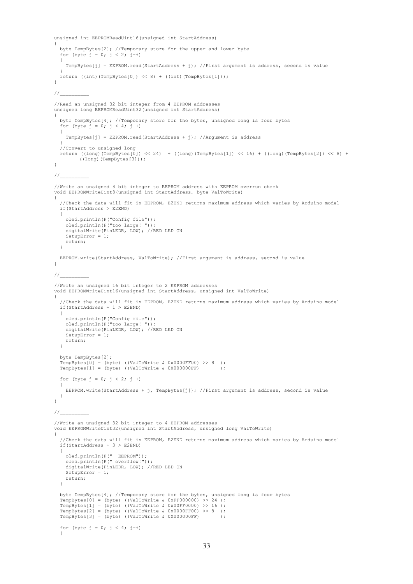```
unsigned int EEPROMReadUint16(unsigned int StartAddress)
{
   byte TempBytes[2]; //Temporary store for the upper and lower byte
  for (byte j = 0; j < 2; j^{++})
\qquad \qquad TempBytes[j] = EEPROM.read(StartAddress + j); //First argument is address, second is value
\qquad \qquadreturn ((int)(TempBytes[0]) << 8) + ((int)(TempBytes[1]));
}
1///Read an unsigned 32 bit integer from 4 EEPROM addresses
unsigned long EEPROMReadUint32(unsigned int StartAddress)
{
   byte TempBytes[4]; //Temporary store for the bytes, unsigned long is four bytes
  for (byte j = 0; j < 4; j++) {
     TempBytes[j] = EEPROM.read(StartAddress + j); //Argument is address
\qquad \qquad //Convert to unsigned long
   return ((long)(TempBytes[0]) << 24) + ((long)(TempBytes[1]) << 16) + ((long)(TempBytes[2]) << 8) + 
         ((long)(TempBytes[3])); 
\lambda1/2//Write an unsigned 8 bit integer to EEPROM address with EEPROM overrun check
void EEPROMWriteUint8(unsigned int StartAddress, byte ValToWrite)
{
   //Check the data will fit in EEPROM, E2END returns maximum address which varies by Arduino model
   if(StartAddress > E2END) 
   {
     oled.println(F("Config file"));
 oled.println(F("too large! "));
 digitalWrite(PinLEDR, LOW); //RED LED ON
    SetupError = 1; return;
  \overline{1} EEPROM.write(StartAddress, ValToWrite); //First argument is address, second is value
}
////Write an unsigned 16 bit integer to 2 EEPROM addresses
void EEPROMWriteUint16(unsigned int StartAddress, unsigned int ValToWrite)
{
   //Check the data will fit in EEPROM, E2END returns maximum address which varies by Arduino model
   if(StartAddress + 1 > E2END) 
\qquad \qquad oled.println(F("Config file"));
 oled.println(F("too large! "));
    digitalWrite(PinLEDR, LOW); //RED LED ON
    SetupError = 1;
    return;
   }
   byte TempBytes[2];
 TempBytes[0] = (byte) ((ValToWrite & 0x0000FF00) >> 8 );
 TempBytes[1] = (byte) ((ValToWrite & 0X000000FF) );
  for (byte j = 0; j < 2; j++) {
     EEPROM.write(StartAddress + j, TempBytes[j]); //First argument is address, second is value
  }
\mathbf{a}\hspace{-.07cm}\mathcal{N}//Write an unsigned 32 bit integer to 4 EEPROM addresses
void EEPROMWriteUint32(unsigned int StartAddress, unsigned long ValToWrite)
{
   //Check the data will fit in EEPROM, E2END returns maximum address which varies by Arduino model
   if(StartAddress + 3 > E2END) 
\qquad \qquad oled.println(F(" EEPROM"));
 oled.println(F(" overflow!"));
    digitalWrite(PinLEDR, LOW); //RED LED ON
     SetupError = 1;
     return;
   }
   byte TempBytes[4]; //Temporary store for the bytes, unsigned long is four bytes
  TempBytes[0] = (byte) ((ValToWrite & 0xFF000000) >> 24 );
  TempBytes[1] = (byte) ((ValToWrite & 0x00FF0000) >> 16);
 TempBytes[2] = (byte) ((ValToWrite & 0x0000FF00) >> 8 );
 TempBytes[3] = (byte) ((ValToWrite & 0X000000FF) );
  for (byte j = 0; j < 4; j++)\overline{\phantom{a}}
```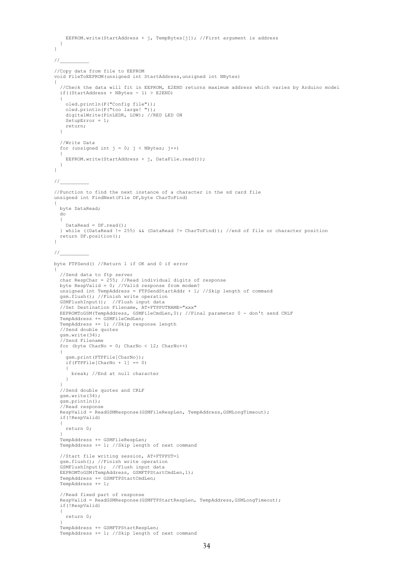```
 EEPROM.write(StartAddress + j, TempBytes[j]); //First argument is address
  }
}
\frac{1}{2}//Copy data from file to EEPROM
void FileToEEPROM(unsigned int StartAddress,unsigned int NBytes)
{
   //Check the data will fit in EEPROM, E2END returns maximum address which varies by Arduino model
   if((StartAddress + NBytes - 1) > E2END)
\qquad \qquad oled.println(F("Config file"));
 oled.println(F("too large! "));
 digitalWrite(PinLEDR, LOW); //RED LED ON
     SetupError = 1;
     return;
  \lambda //Write Data 
  for (unsigned int j = 0; j < NBytes; j++)\overline{\phantom{a}} EEPROM.write(StartAddress + j, DataFile.read());
  \rightarrow}
\frac{1}{2}//Function to find the next instance of a character in the sd card file
unsigned int FindNext(File DF,byte CharToFind)
{
   byte DataRead;
   do
   {
     DataRead = DF.read();
   } while ((DataRead != 255) && (DataRead != CharToFind)); //end of file or character position
   return DF.position();
\mathbf{r}\frac{1}{2}byte FTPSend() //Return 1 if OK and 0 if error
{
   //Send data to ftp server
 char RespChar = 255; //Read individual digits of response
 byte RespValid = 0; //Valid response from modem?
   unsigned int TempAddress = FTPSendStartAddr + 1; //Skip length of command
   gsm.flush(); //Finish write operation
   GSMFlushInput(); //Flush input data
   //Set Destination Filename, AT+FTPPUTNAME="xxx"
   EEPROMToGSM(TempAddress, GSMFileCmdLen,0); //Final parameter 0 - don't send CRLF
 TempAddress += GSMFileCmdLen;
 TempAddress += 1; //Skip response length
   //Send double quotes
   gsm.write(34);
   //Send Filename
  for (byte CharNo = 0; CharNo < 12; CharNo++)
\overline{\phantom{a}} gsm.print(FTPFile[CharNo]);
     if(FTPFile[CharNo + 1] == 0)\left\{\begin{array}{ccc} \end{array}\right\} break; //End at null character
     }
 }
 //Send double quotes and CRLF
   gsm.write(34);
   gsm.println();
   //Read response
  RespValid = ReadGSMResponse(GSMFileRespLen, TempAddress, GSMLongTimeout);
   if(!RespValid)
\overline{\phantom{a}} return 0;
\qquad \qquad TempAddress += GSMFileRespLen;
   TempAddress += 1; //Skip length of next command
   //Start file writing session, AT+FTPPUT=1
   gsm.flush(); //Finish write operation
   GSMFlushInput(); //Flush input data
   EEPROMToGSM(TempAddress, GSMFTPStartCmdLen,1); 
   TempAddress += GSMFTPStartCmdLen;
   TempAddress += 1;
   //Read fixed part of response
  RespValid = ReadGSMResponse(GSMFTPStartRespLen, TempAddress, GSMLongTimeout);
   if(!RespValid)
\qquad \qquad return 0;
\qquad \qquad TempAddress += GSMFTPStartRespLen;
   TempAddress += 1; //Skip length of next command
```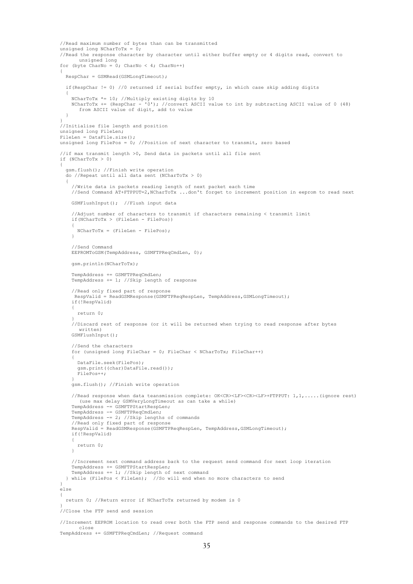```
 //Read maximum number of bytes than can be transmitted
 m unsigned long NCharToTx = 0;
   //Read the response character by character until either buffer empty or 4 digits read, convert to 
        unsigned long
 for (byte CharNo = 0; CharNo < 4; CharNo++)
\overline{\phantom{a}} RespChar = GSMRead(GSMLongTimeout);
    if(RespChar != 0) //0 returned if serial buffer empty, in which case skip adding digits
     {
 NCharToTx *= 10; //Multiply existing digits by 10
 NCharToTx += (RespChar - '0'); //convert ASCII value to int by subtracting ASCII value of 0 (48) 
         from ASCII value of digit, add to value
     }
\rightarrow //Initialise file length and position
  unsigned long FileLen;
  FileLen = DataFile.size();
  unsigned long FilePos = 0; //Position of next character to transmit, zero based
   //if max transmit length >0, Send data in packets until all file sent
  if (NCharToTx > 0)
\qquad \qquad gsm.flush(); //Finish write operation
     do //Repeat until all data sent (NCharToTx > 0)
\left\{\begin{array}{ccc} \end{array}\right\} //Write data in packets reading length of next packet each time 
       //Send Command AT+FTPPUT=2,NCharToTx ...don't forget to increment position in eeprom to read next
       GSMFlushInput(); //Flush input data
       //Adjust number of characters to transmit if characters remaining < transmit limit
       if(NCharToTx > (FileLen - FilePos))
       {
         NCharToTx = (FileLen - FilePos);
 }
       //Send Command
       EEPROMToGSM(TempAddress, GSMFTPReqCmdLen, 0);
       gsm.println(NCharToTx);
       TempAddress += GSMFTPReqCmdLen;
       TempAddress += 1; //Skip length of response
 //Read only fixed part of response
 RespValid = ReadGSMResponse(GSMFTPReqRespLen, TempAddress,GSMLongTimeout);
       if(!RespValid)
 {
         return 0;
 }
       //Discard rest of response (or it will be returned when trying to read response after bytes 
         written)
       GSMFlushInput();
       //Send the characters
       for (unsigned long FileChar = 0; FileChar < NCharToTx; FileChar++)
 {
         DataFile.seek(FilePos);
        gsm.print((char)DataFile.read());
         FilePos++;
       }
       gsm.flush(); //Finish write operation
       //Read response when data teansmission complete: OK<CR><LF><CR><LF>+FTPPUT: 1,1,.....(ignore rest) 
         (use max delay GSMVeryLongTimeout as can take a while)
       TempAddress -= GSMFTPStartRespLen;
       TempAddress -= GSMFTPReqCmdLen;
 TempAddress -= 2; //Skip lengths of commands
 //Read only fixed part of response
      RespValid = ReadGSMResponse(GSMFTPReqRespLen, TempAddress,GSMLongTimeout);
       if(!RespValid)
 {
         return 0;
      \lambda //Increment next command address back to the request send command for next loop iteration
       TempAddress += GSMFTPStartRespLen;
TempAddress += 1; //Skip length of next command<br>} while (FilePos < FileLen); //So will end when no more characters to send
   }
  else
\overline{\phantom{a}} return 0; //Return error if NCharToTx returned by modem is 0
\qquad \qquad //Close the FTP send and session
  //Increment EEPROM location to read over both the FTP send and response commands to the desired FTP 
         close
```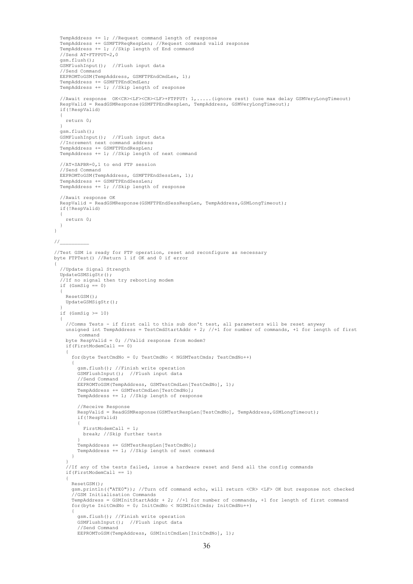```
 TempAddress += 1; //Request command length of response
 TempAddress += GSMFTPReqRespLen; //Request command valid response
 TempAddress += 1; //Skip length of End command 
    //Send AT+FTPPUT=2,0
   gsm.flush();
   GSMFlushInput(); //Flush input data
    //Send Command
   EEPROMToGSM(TempAddress, GSMFTPEndCmdLen, 1);
   TempAddress += GSMFTPEndCmdLen;
   TempAddress += 1; //Skip length of response
   //Await response OK<CR><LF><CR><LF>+FTPPUT: 1,.....(ignore rest) (use max delay GSMVeryLongTimeout) 
   RespValid = ReadGSMResponse(GSMFTPEndRespLen, TempAddress, GSMVeryLongTimeout);
   if(!RespValid)
\qquad \qquad return 0;
  \lambda gsm.flush();
 GSMFlushInput(); //Flush input data
 //Increment next command address
  TempAddress += GSMFTPEndRespLen;
   TempAddress += 1; //Skip length of next command
   //AT+SAPBR=0,1 to end FTP session 
    //Send Command
   EEPROMToGSM(TempAddress, GSMFTPEndSessLen, 1);
   TempAddress += GSMFTPEndSessLen;
   TempAddress += 1; //Skip length of response
   //Await response OK 
   RespValid = ReadGSMResponse(GSMFTPEndSessRespLen, TempAddress,GSMLongTimeout);
   if(!RespValid)
   {
     return 0;
   }
}
\frac{1}{2}//Test GSM is ready for FTP operation, reset and reconfigure as necessary
byte FTPTest() //Return 1 if OK and 0 if error
    //Update Signal Strength
   UpdateGSMSigStr();
    //If no signal then try rebooting modem
  if (GsmSig == 0)\overline{\phantom{a}} ResetGSM();
     UpdateGSMSigStr();
\rightarrowif (GsmSig \ge 10) {
 //Comms Tests - if first call to this sub don't test, all parameters will be reset anyway
 unsigned int TempAddress = TestCmdStartAddr + 2; //+1 for number of commands, +1 for length of first 
           command
      byte RespValid = 0; //Valid response from modem?
     if(FirstModelMCall == 0)\left\{\begin{array}{ccc} \end{array}\right\} for(byte TestCmdNo = 0; TestCmdNo < NGSMTestCmds; TestCmdNo++)
 {
           gsm.flush(); //Finish write operation
           GSMFlushInput(); //Flush input data
           //Send Command
           EEPROMToGSM(TempAddress, GSMTestCmdLen[TestCmdNo], 1);
 TempAddress += GSMTestCmdLen[TestCmdNo];
 TempAddress += 1; //Skip length of response
           //Receive Response
           RespValid = ReadGSMResponse(GSMTestRespLen[TestCmdNo], TempAddress,GSMLongTimeout);
           if(!RespValid)
\left\{ \begin{array}{ccc} 0 & 0 & 0 \\ 0 & 0 & 0 \\ 0 & 0 & 0 \\ 0 & 0 & 0 \\ 0 & 0 & 0 \\ 0 & 0 & 0 \\ 0 & 0 & 0 \\ 0 & 0 & 0 \\ 0 & 0 & 0 \\ 0 & 0 & 0 \\ 0 & 0 & 0 \\ 0 & 0 & 0 \\ 0 & 0 & 0 \\ 0 & 0 & 0 & 0 \\ 0 & 0 & 0 & 0 \\ 0 & 0 & 0 & 0 \\ 0 & 0 & 0 & 0 \\ 0 & 0 & 0 & 0 & 0 \\ 0 & 0 & 0 & 0 & 0 \\ 0 & 0 & 0 & 0 & 0FirstModemCall = 1;
             break; //Skip further tests
 }
 TempAddress += GSMTestRespLen[TestCmdNo];
 TempAddress += 1; //Skip length of next command
        }
 }
      //If any of the tests failed, issue a hardware reset and Send all the config commands
      if(FirstModemCall == 1)
\left\{\begin{array}{ccc} \end{array}\right\} ResetGSM();
        gsm.println(("ATE0")); //Turn off command echo, will return <CR> <LF> OK but response not checked
         //GSM Initialisation Commands
         TempAddress = GSMInitStartAddr + 2; //+1 for number of commands, +1 for length of first command
        for(byte InitCmdNo = 0; InitCmdNo < NGSMInitCmds; InitCmdNo++)
 {
           gsm.flush(); //Finish write operation
           GSMFlushInput(); //Flush input data
           //Send Command
           EEPROMToGSM(TempAddress, GSMInitCmdLen[InitCmdNo], 1);
```
{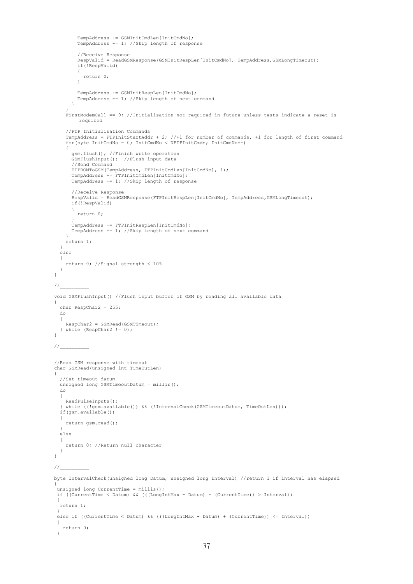```
 TempAddress += GSMInitCmdLen[InitCmdNo];
          TempAddress += 1; //Skip length of response
          //Receive Response
          RespValid = ReadGSMResponse(GSMInitRespLen[InitCmdNo], TempAddress,GSMLongTimeout);
          if(!RespValid)
          {
            return 0;
          }
          TempAddress += GSMInitRespLen[InitCmdNo];
         TempAddress += 1; //Skip length of next command
        }
 }
     FirstModemCall == 0; //Initialisation not required in future unless tests indicate a reset is 
         required
     //FTP Initialisation Commands
 TempAddress = FTPInitStartAddr + 2; //+1 for number of commands, +1 for length of first command
 for(byte InitCmdNo = 0; InitCmdNo < NFTPInitCmds; InitCmdNo++)
\left\{\begin{array}{ccc} \end{array}\right\} gsm.flush(); //Finish write operation
        GSMFlushInput(); //Flush input data
        //Send Command
 EEPROMToGSM(TempAddress, FTPInitCmdLen[InitCmdNo], 1);
 TempAddress += FTPInitCmdLen[InitCmdNo];
       TempAddress += 1; //Skip length of response
        //Receive Response
       RespValid = ReadGSMResponse(FTPInitRespLen[InitCmdNo], TempAddress,GSMLongTimeout);
        if(!RespValid)
        {
          return 0;
 }
 TempAddress += FTPInitRespLen[InitCmdNo];
 TempAddress += 1; //Skip length of next command
 }
     return 1;
   }
   else
\qquad \qquad return 0; //Signal strength < 10%
   }
\frac{1}{2}void GSMFlushInput() //Flush input buffer of GSM by reading all available data
   char RespChar2 = 255;
   do
  \{ RespChar2 = GSMRead(GSMTimeout);
   } while (RespChar2 != 0);
11//Read GSM response with timeout
char GSMRead(unsigned int TimeOutLen)
   //Set timeout datum
   unsigned long GSMTimeoutDatum = millis();
   do
   {
     ReadPulseInputs();
   while ((!gsm.available()) && (!IntervalCheck(GSMTimeoutDatum, TimeOutLen)));
   if(gsm.available())
   {
     return gsm.read();
   }
   else
\qquad \qquad return 0; //Return null character
  \overline{ }\frac{1}{2}byte IntervalCheck(unsigned long Datum, unsigned long Interval) //return 1 if interval has elapsed
 unsigned long CurrentTime = millis();
 if ((CurrentTime < Datum) && (((LongIntMax - Datum) + (CurrentTime)) > Interval))
 {
   return 1;
 }
else if ((CurrentTime < Datum) && (((LongIntMax - Datum) + (CurrentTime)) <= Interval))
 {
   return 0;
 }
```
}

{

}

{

}

{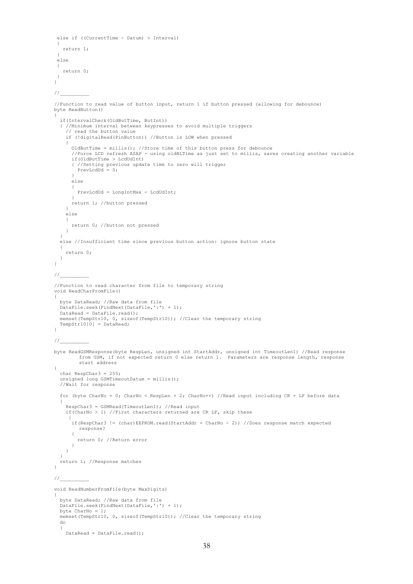```
else if ((CurrentTime - Datum) > Interval)
 {
    return 1;
 }
else
 {
    return 0;
 }
}
//__________
//Function to read value of button input, return 1 if button pressed (allowing for debounce)
byte ReadButton()
{
   if(IntervalCheck(OldButTime, ButInt))
   { //Minimum interval between keypresses to avoid multiple triggers
     // read the button value 
     if (!digitalRead(PinButton)) //Button is LOW when pressed
\left\{\begin{array}{ccc} \end{array}\right\} OldButTime = millis(); //Store time of this button press for debounce
        //Force LCD refresh ASAP - using oldBLTime as just set to millis, saves creating another variable
        if(OldButTime > LcdUdInt)
        { //Setting previous update time to zero will trigger 
        PrevLcd\bar{u} = 0:
 }
       else
       {
         PrevLcdUd = LongIntMax - LcdUdInt;
 }
       return 1; //button pressed
     }
     else
\left\{\begin{array}{ccc} \end{array}\right\} return 0; //button not pressed
     }
\rightarrow else //Insufficient time since previous button action: ignore button state
\left\{ \begin{array}{c} \end{array} \right. return 0;
  \rightarrow}
\frac{1}{2}//Function to read character from file to temporary string
void ReadCharFromFile()
{
   byte DataRead; //Raw data from file
  DataFile.seek(FindNext(DataFile,':') + 1);
   DataRead = DataFile.read();
   memset(TempStr10, 0, sizeof(TempStr10)); //Clear the temporary string
  TempStr10[0] = DataRead;}
\frac{1}{2}byte ReadGSMResponse(byte RespLen, unsigned int StartAddr, unsigned int TimeoutLen1) //Read response
         from GSM, if not expected return 0 else return 1. Parameters are response length, response 
         start address
{
   char RespChar3 = 255;
   unsigned long GSMTimeoutDatum = millis();
   //Wait for response
  for (byte CharNo = 0; CharNo < RespLen + 2; CharNo++) //Read input including CR + LF before data
\qquad \qquad RespChar3 = GSMRead(TimeoutLen1); //Read input
     if(CharNo > 1) //First characters returned are CR LF, skip these
\{ if(RespChar3 != (char)EEPROM.read(StartAddr + CharNo - 2)) //Does response match expected 
         response?
        {
          return 0; //Return error
       } 
     }
   }
   return 1; //Response matches
\overline{1}//void ReadNumberFromFile(byte MaxDigits)
{
   byte DataRead; //Raw data from file
  DataFile.seek(FindNext(DataFile,':') + 1);
   byte CharNo = 1;
  memset(TempStr10, 0, sizeof(TempStr10)); //Clear the temporary string
   do
   {
    DataRead = DataFile.read();
```

```
38
```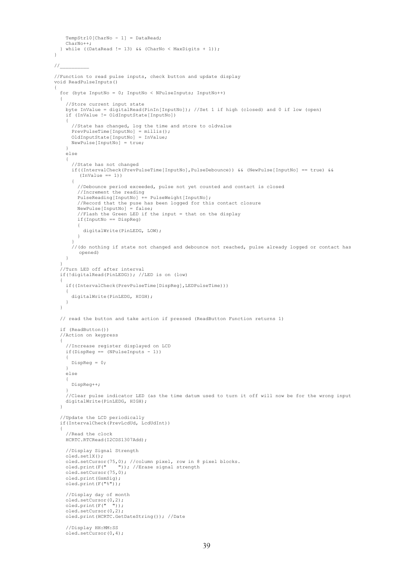```
 TempStr10[CharNo - 1] = DataRead;
     CharNo++;
   } while ((DataRead != 13) && (CharNo < MaxDigits + 1));
}
//__________
//Function to read pulse inputs, check button and update display
void ReadPulseInputs()
{
   for (byte InputNo = 0; InputNo < NPulseInputs; InputNo++)
\qquad \qquad //Store current input state
 byte InValue = digitalRead(PinIn[InputNo]); //Set 1 if high (closed) and 0 if low (open)
 if (InValue != OldInputState[InputNo])
     {
        //State has changed, log the time and store to oldvalue
 PrevPulseTime[InputNo] = millis();
 OldInputState[InputNo] = InValue;
 NewPulse[InputNo] = true;
     }
     else
     {
        //State has not changed 
        if((IntervalCheck(PrevPulseTime[InputNo],PulseDebounce)) && (NewPulse[InputNo] == true) && 
          (\text{Invalue} == 1)) {
          //Debounce period exceeded, pulse not yet counted and contact is closed
          //Increment the reading
          PulseReading[InputNo] += PulseWeight[InputNo];
 //Record that the puse has been logged for this contact closure
 NewPulse[InputNo] = false;
          //Flash the Green LED if the input = that on the display
          if(InputNo == DispReg)
          {
            digitalWrite(PinLEDG, LOW);
         }
 }
        //(do nothing if state not changed and debounce not reached, pulse already logged or contact has 
         opened)
     }
\rightarrow //Turn LED off after interval
   if(!digitalRead(PinLEDG)); //LED is on (low)
   {
     if((IntervalCheck(PrevPulseTime[DispReg],LEDPulseTime)))
     {
       digitalWrite(PinLEDG, HIGH);
     }
   }
   // read the button and take action if pressed (ReadButton Function returns 1)
   if (ReadButton())
   //Action on keypress
   { 
     //Increase register displayed on LCD
    if(DispReg == (NPulseInputStream) )\left\{\begin{array}{ccc} \end{array}\right\} DispReg = 0;
 }
     else
\left\{\begin{array}{ccc} \end{array}\right\} DispReg++;
 }
     //Clear pulse indicator LED (as the time datum used to turn it off will now be for the wrong input
    digitalWrite(PinLEDG, HIGH);
   }
   //Update the LCD periodically
   if(IntervalCheck(PrevLcdUd, LcdUdInt)) 
   {
      //Read the clock 
     HCRTC.RTCRead(I2CDS1307Add);
     //Display Signal Strength
     oled.set1X();
 oled.setCursor(75,0); //column pixel, row in 8 pixel blocks.
 oled.print(F(" ")); //Erase signal strength
     oled.setCursor(75,0);
     oled.print(GsmSig);
    oled.print(F("%"));
     //Display day of month
 oled.setCursor(0,2);
 oled.print(F(" "));
    oled.setCursor(0,2);
     oled.print(HCRTC.GetDateString()); //Date
     //Display HH:MM:SS
     oled.setCursor(0,4);
```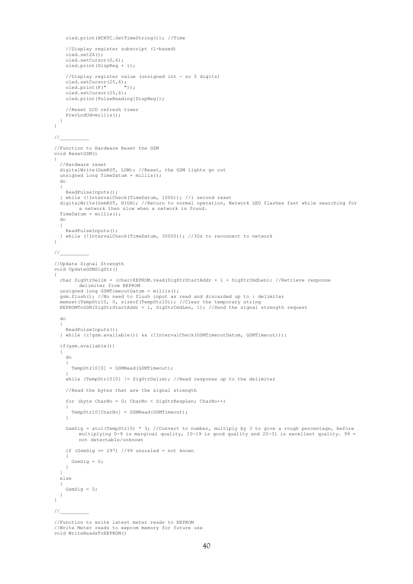```
 oled.print(HCRTC.GetTimeString()); //Time
      //Display register subscript (1-based)
     oled.set2X();
      oled.setCursor(0,6);
     oled.print(DispReg + 1); 
      //Display register value (unsigned int - so 5 digits)
oled.setCursor(25,6);<br>oled.print(F(""));
      oled.setCursor(25,6);
     oled.print(PulseReading[DispReg]);
      //Reset LCD refresh timer
    PrevLcdUd=millis();
   }
\overline{1}\frac{1}{2}//Function to Hardware Reset the GSM
void ResetGSM() 
{
   //Hardware reset
   digitalWrite(GsmRST, LOW); //Reset, the GSM lights go out
  unsigned long TimeDatum = millis();
   do
   {
     ReadPulseInputs();
   } while (!IntervalCheck(TimeDatum, 1000)); //1 second reset
 digitalWrite(GsmRST, HIGH); //Return to normal operation, Network LED flashes fast while searching for 
a network then slow when a network is found.
   TimeDatum = millis();
   do
   {
     ReadPulseInputs();
   } while (!IntervalCheck(TimeDatum, 30000)); //30s to reconnect to network
} 
\frac{1}{2}//Update Signal Strength
void UpdateGSMSigStr()
{
   char SigStrDelim = (char)EEPROM.read(SigStrStartAddr + 1 + SigStrCmdLen); //Retrieve response 
          delimiter from EEPROM
   unsigned long GSMTimeoutDatum = millis();
 gsm.flush(); //No need to flush input as read and discarded up to : delimiter
 memset(TempStr10, 0, sizeof(TempStr10)); //Clear the temporary string
   EEPROMToGSM(SigStrStartAddr + 1, SigStrCmdLen, 1); //Send the signal strength request
   do
\overline{\phantom{a}} ReadPulseInputs();
   } while ((!gsm.available()) && (!IntervalCheck(GSMTimeoutDatum, GSMTimeout)));
   if(gsm.available())
\overline{\phantom{a}} do 
\left\{\begin{array}{ccc} \end{array}\right\} TempStr10[0] = GSMRead(GSMTimeout);
 }
      while (TempStr10[0] != SigStrDelim); //Read response up to the delimiter
     //Read the bytes that are the signal strength
      for (byte CharNo = 0; CharNo < SigStrRespLen; CharNo++)
\left\{\begin{array}{ccc} \end{array}\right\} TempStr10[CharNo] = GSMRead(GSMTimeout);
      }
    GsmSig = atoi(TempStr10) * 3; //Convert to number, multiply by 3 to give a rough percentage, before
          multiplying 0-9 is marginal quality, 10-19 is good quality and 20-31 is excellent quality. 99 = 
          not detectable/unknown
    if (GsmSig == 297) //99 unscaled = not known
\left\{\begin{array}{ccc} \end{array}\right\}GsmSig = 0; }
\rightarrow else
   {
     GsmSig = 0;
   }
}
1/
```
<sup>//</sup>Function to write latest meter reads to EEPROM //Write Meter reads to eeprom memory for future use void WriteReadsToEEPROM()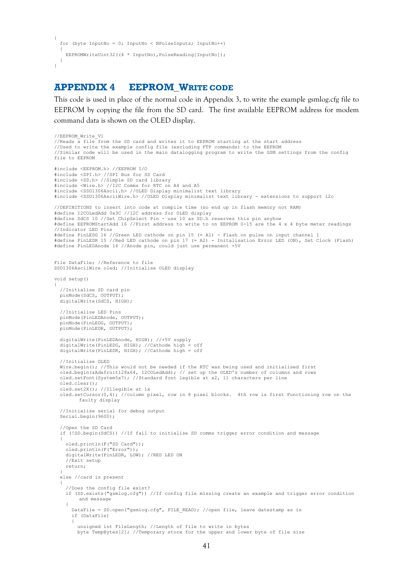```
{
   for (byte InputNo = 0; InputNo < NPulseInputs; InputNo++)
\qquad \qquadEEPROMWriteUint32((4 * InputNo), PulseReading[InputNo]);
  }
\overline{1}
```
## <span id="page-40-0"></span>**APPENDIX 4 EEPROM\_WRITE CODE**

This code is used in place of the normal code in Appendix 3, to write the example gsmlog.cfg file to EEPROM by copying the file from the SD card. The first available EEPROM address for modem command data is shown on the OLED display.

```
//EEPROM_Write_V1
//Reads a file from the SD card and writes it to EEPROM starting at the start address
//Used to write the example config file (excluding FTP commands) to the EEPROM
//Similar code will be used in the main datalogging program to write the GSM settings from the config 
file to EEPROM
#include <EEPROM.h> //EEPROM I/O
#include <SPI.h> //SPI Bus for SD Card
#include <SD.h> //Simple SD card library
#include <Wire.h> //I2C Comms for RTC on A4 and A5
#include <SSD1306Ascii.h> //OLED Display minimalist text library
#include <SSD1306AsciiWire.h> //OLED Display minimalist text library - extensions to support i2c
//DEFINITIONS to insert into code at compile time (so end up in flash memory not RAM)
#define I2COLedAdd 0x3C //I2C address for OLED display
#define SdCS 10 //Set ChipSelect Pin - use 10 as SD.h reserves this pin anyhow
#define EEPROMStartAdd 16 //First address to write to on EEPROM 0-15 are the 4 x 4 byte meter readings
//Indicator LED Pins
#define PinLEDG 16 //Green LED cathode on pin 15 (= A1) - Flash on pulse on input channel 1
#define PinLEDR 15 //Red LED cathode on pin 17 (= A2) - Initalisation Error LED (ON), Set Clock (Flash)
#define PinLEDAnode 14 //Anode pin, could just use permanent +5V
File DataFile; //Reference to file
SSD1306AsciiWire oled; //Initialise OLED display
void setup() 
{
   //Initialise SD card pin
   pinMode(SdCS, OUTPUT);
   digitalWrite(SdCS, HIGH);
   //Initialise LED Pins
   pinMode(PinLEDAnode, OUTPUT);
   pinMode(PinLEDG, OUTPUT);
   pinMode(PinLEDR, OUTPUT);
   digitalWrite(PinLEDAnode, HIGH); //+5V supply
  digitalWrite(PinLEDG, HIGH); //Cathode high = off
   digitalWrite(PinLEDR, HIGH); //Cathode high = off
   //Initialise OLED
Wire.begin(); //This would not be needed if the RTC was being used and initialised first<br>oled.begin(&Adafruit128x64, I2COLedAdd); // set up the OLED's number of columns and rows<br>oled.setFont(System5x7); //Standard font leg
   oled.clear();
   oled.set2X(); //Illegible at 1x
   oled.setCursor(0,4); //column pixel, row in 8 pixel blocks. 4th row is first Functioning row on the
          faulty display
   //Initialise serial for debug output
   Serial.begin(9600);
   //Open the SD Card
   if (!SD.begin(SdCS)) //If fail to initialise SD comms trigger error condition and message
\overline{\phantom{a}} oled.println(F("SD Card"));
     oled.println(F("Error"));
     digitalWrite(PinLEDR, LOW); //RED LED ON
     //Exit setup
     return;
 }
   else //card is present
\qquad \qquad //Does the config file exist?
     if (SD.exists("gsmlog.cfg")) //If config file missing create an example and trigger error condition
          and message
\left\{\begin{array}{ccc} \end{array}\right\} DataFile = SD.open("gsmlog.cfg", FILE_READ); //open file, leave datestamp as is
        if (DataFile)
 {
          unsigned int FileLength; //Length of file to write in bytes
          byte TempBytes[2]; //Temporary store for the upper and lower byte of file size
```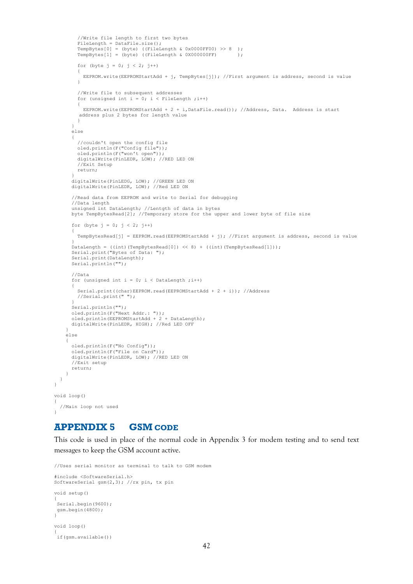```
 //Write file length to first two bytes
FileLength = DataFile.size();
TempBytes[0] = (byte) ((FileLength & 0x0000FF00) >> 8 );
           TempBytes[1] = (byte) ((FileLength & 0X000000FF) );
           for (byte j = 0; j < 2; j++)\left\{ \begin{array}{ccc} 0 & 0 & 0 \\ 0 & 0 & 0 \\ 0 & 0 & 0 \\ 0 & 0 & 0 \\ 0 & 0 & 0 \\ 0 & 0 & 0 \\ 0 & 0 & 0 \\ 0 & 0 & 0 \\ 0 & 0 & 0 \\ 0 & 0 & 0 \\ 0 & 0 & 0 \\ 0 & 0 & 0 \\ 0 & 0 & 0 \\ 0 & 0 & 0 & 0 \\ 0 & 0 & 0 & 0 \\ 0 & 0 & 0 & 0 \\ 0 & 0 & 0 & 0 \\ 0 & 0 & 0 & 0 & 0 \\ 0 & 0 & 0 & 0 & 0 \\ 0 & 0 & 0 & 0 & 0 EEPROM.write(EEPROMStartAdd + j, TempBytes[j]); //First argument is address, second is value
            }
            //Write file to subsequent addresses
           for (unsigned int i = 0; i < FileLength ; i++)
\left\{ \begin{array}{ccc} 0 & 0 & 0 \\ 0 & 0 & 0 \\ 0 & 0 & 0 \\ 0 & 0 & 0 \\ 0 & 0 & 0 \\ 0 & 0 & 0 \\ 0 & 0 & 0 \\ 0 & 0 & 0 \\ 0 & 0 & 0 \\ 0 & 0 & 0 \\ 0 & 0 & 0 \\ 0 & 0 & 0 \\ 0 & 0 & 0 \\ 0 & 0 & 0 & 0 \\ 0 & 0 & 0 & 0 \\ 0 & 0 & 0 & 0 \\ 0 & 0 & 0 & 0 \\ 0 & 0 & 0 & 0 & 0 \\ 0 & 0 & 0 & 0 & 0 \\ 0 & 0 & 0 & 0 & 0 EEPROM.write(EEPROMStartAdd + 2 + i,DataFile.read()); //Address, Data. Address is start 
            address plus 2 bytes for length value
            }
        \overline{1} else
         {
            //couldn't open the config file
            oled.println(F("Config file"));
            oled.println(F("won't open"));
            digitalWrite(PinLEDR, LOW); //RED LED ON
            //Exit Setup
            return;
 }
         digitalWrite(PinLEDG, LOW); //GREEN LED ON
         digitalWrite(PinLEDR, LOW); //Red LED ON
         //Read data from EEPROM and write to Serial for debugging
         //Data length
         unsigned int DataLength; //Lentgth of data in bytes
         byte TempBytesRead[2]; //Temporary store for the upper and lower byte of file size
        for (byte j = 0; j < 2; j++) {
          TempBytesRead[j] = EEPROM.read(EEPROMStartAdd + j); //First argument is address, second is value
 }
         DataLength = ((int)(TempBytesRead[0]) << 8) + ((int)(TempBytesRead[1]));
         Serial.print("Bytes of Data: ");
         Serial.print(DataLength);
         Serial.println("");
         //Data
        for (unsigned int i = 0; i < DataLength ; i++)
 {
 Serial.print((char)EEPROM.read(EEPROMStartAdd + 2 + i)); //Address
 //Serial.print(" ");
 }
         Serial.println("");
         oled.println(F("Next Addr.: "));
 oled.println(EEPROMStartAdd + 2 + DataLength);
 digitalWrite(PinLEDR, HIGH); //Red LED OFF
 }
      else
\left\{\begin{array}{ccc} \end{array}\right\} oled.println(F("No Config"));
         oled.println(F("File on Card"));
         digitalWrite(PinLEDR, LOW); //RED LED ON
         //Exit setup
         return;
      }
void loop() 
   //Main loop not used
```
## **APPENDIX 5 GSM CODE**

 } }

{

<span id="page-41-0"></span>}

This code is used in place of the normal code in Appendix 3 for modem testing and to send text messages to keep the GSM account active.

```
//Uses serial monitor as terminal to talk to GSM modem
#include <SoftwareSerial.h>
SoftwareSerial gsm(2,3); //rx pin, tx pin
void setup() 
{
Serial.begin(9600);
gsm.begin(4800);
\overline{1}void loop() 
{
if(gsm.available())
```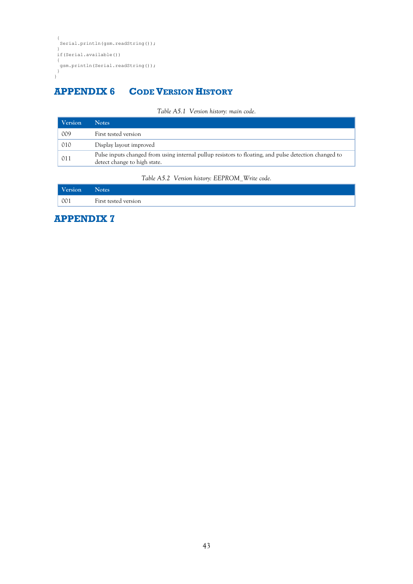```
{
 Serial.println(gsm.readString());
 }
if(Serial.available())
{
 i<br>gsm.println(Serial.readString());
}
}
```
## <span id="page-42-0"></span>**APPENDIX 6 CODE VERSION HISTORY**

| Table A5.1 Version history: main code. |  |  |  |  |
|----------------------------------------|--|--|--|--|
|----------------------------------------|--|--|--|--|

| Version | <b>Notes</b>                                                                                                                          |
|---------|---------------------------------------------------------------------------------------------------------------------------------------|
| 009     | First tested version                                                                                                                  |
| 010     | Display layout improved                                                                                                               |
| 011     | Pulse inputs changed from using internal pullup resistors to floating, and pulse detection changed to<br>detect change to high state. |

*Table A5.2 Version history: EEPROM\_Write code.*

| <b>Version</b> | <b>Notes</b>         |
|----------------|----------------------|
| 001            | First tested version |

<span id="page-42-1"></span>**APPENDIX 7**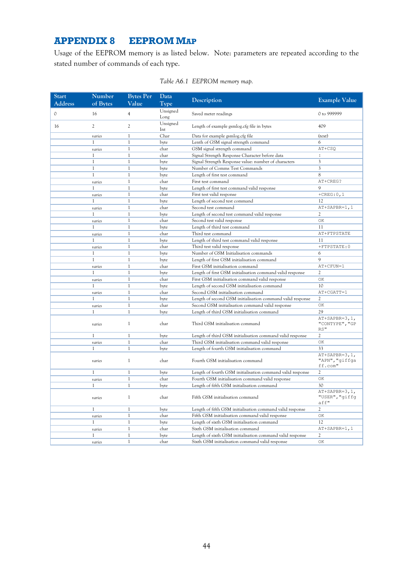## **APPENDIX 8 EEPROM MAP**

Usage of the EEPROM memory is as listed below. Note: parameters are repeated according to the stated number of commands of each type.

| <b>Start</b>   | Number         | <b>Bytes Per</b> | Data             |                                                            |                                              |
|----------------|----------------|------------------|------------------|------------------------------------------------------------|----------------------------------------------|
| <b>Address</b> | of Bytes       | Value            | Type             | Description                                                | <b>Example Value</b>                         |
| 0              | 16             | $\overline{4}$   | Unsigned<br>Long | Saved meter readings                                       | 0 to 999999                                  |
| 16             | $\overline{c}$ | $\mathfrak{2}$   | Unsigned<br>Int  | Length of example gsmlog.cfg file in bytes                 | 409                                          |
|                | varies         | $\mathbf{1}$     | Char             | Data for example gsmlog.cfg file                           | (text)                                       |
|                | 1              | $\mathbf{1}$     | byte             | Lenth of GSM signal strength command                       | 6                                            |
|                | varies         | $\mathbf{1}$     | char             | GSM signal strength command                                | AT+CSQ                                       |
|                | -1             | $\mathbf{1}$     | char             | Signal Strength Response Character before data             | :                                            |
|                | $\mathbf{1}$   | $\mathbf{1}$     | byte             | Signal Strength Response value: number of characters       | 3                                            |
|                | 1              | $\mathbf{1}$     | byte             | Number of Comms Test Commands                              | 3                                            |
|                | $\mathbf{1}$   | $\mathbf{1}$     | byte             | Length of first test command                               | 8                                            |
|                | varies         | $\mathbf{1}$     | char             | First test command                                         | AT+CREG?                                     |
|                | 1              | $\mathbf{1}$     | byte             | Length of first test command valid response                | 9                                            |
|                | varies         | $\mathbf{1}$     | char             | First test valid response                                  | $+CREG:0,1$                                  |
|                | -1             | $\mathbf{1}$     | byte             | Length of second test command                              | 12                                           |
|                | varies         | $\mathbf{1}$     | char             | Second test command                                        | AT+SAPBR=1,1                                 |
|                | $\mathbf{1}$   | $\mathbf{1}$     | byte             | Length of second test command valid response               | $\overline{c}$                               |
|                | varies         | $\mathbf{1}$     | char             | Second test valid response                                 | OK                                           |
|                | $\mathbf{1}$   | $\mathbf{1}$     | byte             | Length of third test command                               | 11                                           |
|                | varies         | $\mathbf{1}$     | char             | Third test command                                         | AT+FTPSTATE                                  |
|                | $\mathbf{1}$   | $\mathbf{1}$     | byte             | Length of third test command valid response                | 11                                           |
|                | varies         | $\mathbf{1}$     | char             | Third test valid response                                  | +FTPSTATE: 0                                 |
|                | 1              | $\mathbf{1}$     | byte             | Number of GSM Initialisation commands                      | 6                                            |
|                | $\mathbf{1}$   | $\mathbf{1}$     | byte             | Length of first GSM initialisation command                 | $\overline{9}$                               |
|                | varies         | $\mathbf{1}$     | char             | First GSM initialisation command                           | AT+CFUN=1                                    |
|                | $\mathbf{1}$   | $\mathbf{1}$     | byte             | Length of first GSM initialisation command valid response  | 2                                            |
|                | varies         | $\mathbf{1}$     | char             | First GSM initialisation command valid response            | OK                                           |
|                | 1              | $\mathbf{1}$     | byte             | Length of second GSM initialisation command                | 10                                           |
|                | varies         | $\mathbf{1}$     | char             | Second GSM initialisation command                          | AT+CGATT=1                                   |
|                | $\mathbf{1}$   | $\mathbf{1}$     | byte             | Length of second GSM initialisation command valid response | 2                                            |
|                | varies         | 1                | char             | Second GSM initialisation command valid response           | OK                                           |
|                | $\mathbf{1}$   | $\mathbf{1}$     | byte             | Length of third GSM initialisation command                 | 29                                           |
|                | varies         | 1                | char             | Third GSM initialisation command                           | $AT+SAPBR=3,1,$<br>"CONTYPE", "GP<br>$RS$ "  |
|                | $\mathbf{1}$   | $\mathbf{1}$     | byte             | Length of third GSM initialisation command valid response  | $\overline{c}$                               |
|                | varies         | $\mathbf{1}$     | char             | Third GSM initialisation command valid response            | ОK                                           |
|                | 1              | $\mathbf{1}$     | byte             | Length of fourth GSM initialisation command                | 33                                           |
|                | varies         | 1                | char             | Fourth GSM initialisation command                          | $AT+SAPBR=3,1,$<br>"APN", "giffga<br>ff.com" |
|                | $\mathbf{1}$   | $\mathbf{1}$     | byte             | Length of fourth GSM initialisation command valid response | 2                                            |
|                | varies         | $\mathbf{1}$     | char             | Fourth GSM initialisation command valid response           | ОK                                           |
|                | 1              | $\mathbf{1}$     | byte             | Length of fifth GSM initialisation command                 | 30                                           |
|                | varies         | $\mathbf{1}$     | char             | Fifth GSM initialisation command                           | $AT+SAPBR=3,1,$<br>"USER", "giffg<br>aff"    |
|                | $\mathbf{1}$   | $\mathbf{1}$     | byte             | Length of fifth GSM initialisation command valid response  | 2                                            |
|                | varies         | $\mathbf{1}$     | char             | Fifth GSM initialisation command valid response            | OК                                           |
|                | 1              | $\mathbf{1}$     | byte             | Length of sixth GSM initialisation command                 | 12                                           |
|                | varies         | 1                | char             | Sixth GSM initialisation command                           | AT+SAPBR=1,1                                 |
|                | $\mathbf{1}$   | $\mathbf{1}$     | byte             | Length of sixth GSM initialisation command valid response  | $\overline{c}$                               |
|                | varies         | $\mathbf{1}$     | char             | Sixth GSM initialisation command valid response            | OK                                           |

## *Table A6.1 EEPROM memory map.*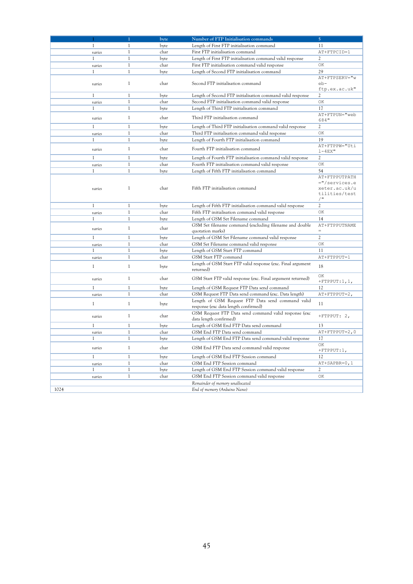|              |              | byte | Number of FTP Initialisation commands                                                 | 5                      |
|--------------|--------------|------|---------------------------------------------------------------------------------------|------------------------|
| 1            | 1            | byte | Length of First FTP initialisation command                                            | 11                     |
| varies       | $\mathbf{1}$ | char | First FTP initialisation command                                                      | AT+FTPCID=1            |
| 1            | $\mathbf{1}$ | byte | Length of First FTP initialisation command valid response                             | 2                      |
| varies       | $\mathbf{1}$ | char | First FTP initialisation command valid response                                       | ОK                     |
| 1            | $\mathbf{1}$ | byte | Length of Second FTP initialisation command                                           | 29                     |
|              |              |      |                                                                                       | AT+FTPSERV="w          |
| varies       | 1            | char | Second FTP initialisation command                                                     | $eb-$<br>ftp.ex.ac.uk" |
| $\mathbf{1}$ | $\mathbf{1}$ | byte | Length of Second FTP initialisation command valid response                            | 2                      |
| varies       | 1            | char | Second FTP initialisation command valid response                                      | OK                     |
| $\mathbf{1}$ | $\mathbf{1}$ | byte | Length of Third FTP initialisation command                                            | 17                     |
| varies       | $\mathbf{1}$ | char | Third FTP initialisation command                                                      | AT+FTPUN="web<br>684"  |
| $\mathbf{1}$ | $\mathbf{1}$ | byte | Length of Third FTP initialisation command valid response                             | 2                      |
| varies       | $\mathbf{1}$ | char | Third FTP initialisation command valid response                                       | OК                     |
| 1            | $\mathbf{1}$ | byte | Length of Fourth FTP initialisation command                                           | 19                     |
|              |              |      |                                                                                       | AT+FTPPW="Uti          |
| varies       | $\mathbf{1}$ | char | Fourth FTP initialisation command                                                     | $1 - 4EX$ "            |
| 1            | 1            | byte | Length of Fourth FTP initialisation command valid response                            | 2                      |
| varies       | $\mathbf{1}$ | char | Fourth FTP initialisation command valid response                                      | OK                     |
| 1            | $\mathbf{1}$ | byte | Length of Fifth FTP initialisation command                                            | 54                     |
|              |              |      |                                                                                       | AT+FTPPUTPATH          |
|              |              |      |                                                                                       | ="/services.e          |
| varies       | $\mathbf{1}$ | char | Fifth FTP initialisation command                                                      | xeter.ac.uk/u          |
|              |              |      |                                                                                       | tilities/test<br>$/$ " |
| 1            | 1            |      | Length of Fifth FTP initialisation command valid response                             | 2                      |
|              | $\mathbf{1}$ | byte |                                                                                       | OK                     |
| varies<br>1  | $\mathbf{1}$ | char | Fifth FTP initialisation command valid response<br>Length of GSM Set Filename command | 14                     |
|              |              | byte | GSM Set filename command (excluding filename and double                               | AT+FTPPUTNAME          |
| varies       | 1            | char | quotation marks)                                                                      | $=$                    |
| $\mathbf{1}$ | $\mathbf{1}$ | byte | Length of GSM Set Filename command valid response                                     | $\mathfrak{2}$         |
| varies       | 1            | char | GSM Set Filename command valid response                                               | OK                     |
| 1            | $\mathbf{1}$ | byte | Length of GSM Start FTP command                                                       | 11                     |
| varies       | $\mathbf{1}$ | char | GSM Start FTP command                                                                 | AT+FTPPUT=1            |
|              |              |      | Length of GSM Start FTP valid response (exc. Final argument                           |                        |
| 1            | $\mathbf{1}$ | byte | returned)                                                                             | 18                     |
|              | 1            | char |                                                                                       | ОK                     |
| varies       |              |      | GSM Start FTP valid response (exc. Final argument returned)                           | $+$ FTPPUT:1,1,        |
| $\mathbf{1}$ | $\mathbf{1}$ | byte | Length of GSM Request FTP Data send command                                           | 12                     |
| varies       | $\mathbf{1}$ | char | GSM Request FTP Data send command (exc. Data length)                                  | $AT+FTPPUT=2$ ,        |
| $\mathbf{1}$ | $\mathbf{1}$ | byte | Length of GSM Request FTP Data send command valid                                     | 11                     |
|              |              |      | response (exc data length confirmed)                                                  |                        |
| varies       | 1            | char | GSM Request FTP Data send command valid response (exc.<br>data length confirmed)      | +FTPPUT: 2,            |
| 1            | $\mathbf{1}$ | byte | Length of GSM End FTP Data send command                                               | 13                     |
| varies       | $\mathbf{1}$ | char | GSM End FTP Data send command                                                         | AT+FTPPUT=2,0          |
| 1            | $\mathbf{1}$ | byte | Length of GSM End FTP Data send command valid response                                | 17                     |
| varies       | $\mathbf{1}$ | char | GSM End FTP Data send command valid response                                          | OК<br>$+$ FTPPUT:1,    |
| $\mathbf{1}$ | $\mathbf{1}$ | byte | Length of GSM End FTP Session command                                                 | 12                     |
| varies       | $\mathbf{1}$ | char | GSM End FTP Session command                                                           | AT+SAPBR=0,1           |
| 1            | $\mathbf{1}$ | byte | Length of GSM End FTP Session command valid response                                  | 2                      |
| varies       | $\mathbf{1}$ | char | GSM End FTP Session command valid response                                            | ОK                     |
|              |              |      | Remainder of memory unallocated                                                       |                        |
| 1024         |              |      | End of memory (Arduino Nano)                                                          |                        |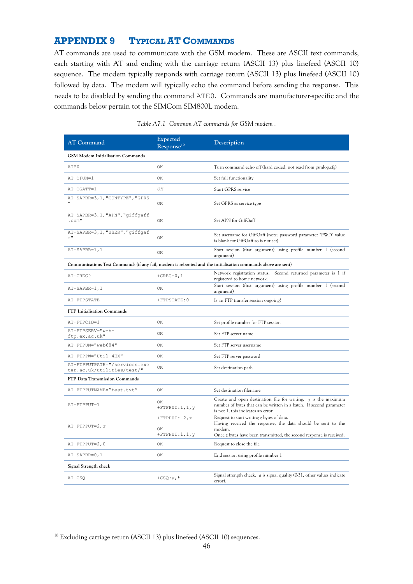## <span id="page-45-0"></span>**APPENDIX 9 TYPICAL AT COMMANDS**

AT commands are used to communicate with the GSM modem. These are ASCII text commands, each starting with AT and ending with the carriage return (ASCII 13) plus linefeed (ASCII 10) sequence. The modem typically responds with carriage return (ASCII 13) plus linefeed (ASCII 10) followed by data. The modem will typically echo the command before sending the response. This needs to be disabled by sending the command ATE0. Commands are manufacturer-specific and the commands below pertain tot the SIMCom SIM800L modem.

| <b>AT Command</b>                                                                                            | Expected<br>Response <sup>10</sup> | Description                                                                                                                                                                 |  |  |  |  |
|--------------------------------------------------------------------------------------------------------------|------------------------------------|-----------------------------------------------------------------------------------------------------------------------------------------------------------------------------|--|--|--|--|
| <b>GSM Modem Initialisation Commands</b>                                                                     |                                    |                                                                                                                                                                             |  |  |  |  |
| ATE0                                                                                                         | ОK                                 | Turn command echo off (hard coded, not read from gsmlog.cfg)                                                                                                                |  |  |  |  |
| AT+CFUN=1                                                                                                    | OK                                 | Set full functionality                                                                                                                                                      |  |  |  |  |
| AT+CGATT=1                                                                                                   | OK                                 | Start GPRS service                                                                                                                                                          |  |  |  |  |
| AT+SAPBR=3, 1, "CONTYPE", "GPRS                                                                              | ОK                                 | Set GPRS as service type                                                                                                                                                    |  |  |  |  |
| AT+SAPBR=3,1, "APN", "giffgaff<br>$.$ $com$                                                                  | ОK                                 | Set APN for GiffGaff                                                                                                                                                        |  |  |  |  |
| AT+SAPBR=3,1, "USER", "giffgaf<br>f''                                                                        | OK                                 | Set username for GiffGaff (note: password parameter "PWD" value<br>is blank for GiffGaff so is not set)                                                                     |  |  |  |  |
| AT+SAPBR=1,1                                                                                                 | ОK                                 | Start session (first argument) using profile number 1 (second<br>argument)                                                                                                  |  |  |  |  |
| Communications Test Commands (if any fail, modem is rebooted and the initialisation commands above are sent) |                                    |                                                                                                                                                                             |  |  |  |  |
| AT+CREG?                                                                                                     | $+$ CREG: $0, 1$                   | Network registration status.<br>Second returned parameter is 1 if<br>registered to home network.                                                                            |  |  |  |  |
| $AT+SAPBR=1,1$                                                                                               | OK                                 | Start session (first argument) using profile number 1 (second<br>argument)                                                                                                  |  |  |  |  |
| AT+FTPSTATE                                                                                                  | +FTPSTATE: 0                       | Is an FTP transfer session ongoing?                                                                                                                                         |  |  |  |  |
| FTP Initialisation Commands                                                                                  |                                    |                                                                                                                                                                             |  |  |  |  |
| AT+FTPCID=1                                                                                                  | OK                                 | Set profile number for FTP session                                                                                                                                          |  |  |  |  |
| AT+FTPSERV="web-<br>ftp.ex.ac.uk"                                                                            | OK                                 | Set FTP server name                                                                                                                                                         |  |  |  |  |
| AT+FTPUN="web684"                                                                                            | OK                                 | Set FTP server username                                                                                                                                                     |  |  |  |  |
| AT+FTPPW="Util-4EX"                                                                                          | OK                                 | Set FTP server password                                                                                                                                                     |  |  |  |  |
| AT+FTPPUTPATH="/services.exe<br>ter.ac.uk/utilities/test/"                                                   | OK                                 | Set destination path                                                                                                                                                        |  |  |  |  |
| FTP Data Transmission Commands                                                                               |                                    |                                                                                                                                                                             |  |  |  |  |
| AT+FTPPUTNAME="test.txt"                                                                                     | OK                                 | Set destination filename                                                                                                                                                    |  |  |  |  |
| AT+FTPPUT=1                                                                                                  | ΟK<br>$+$ FTPPUT:1,1, $v$          | Create and open destination file for writing. y is the maximum<br>number of bytes that can be written in a batch. If second parameter<br>is not 1, this indicates an error. |  |  |  |  |
| $AT+FTPPUT=2, z$                                                                                             | +FTPPUT: $2, z$<br>ОK              | Request to start writing $z$ bytes of data.<br>Having received the response, the data should be sent to the                                                                 |  |  |  |  |
|                                                                                                              | $+$ FTPPUT:1,1,y                   | modem.<br>Once $z$ bytes have been transmitted, the second response is received.                                                                                            |  |  |  |  |
| AT+FTPPUT=2,0                                                                                                | OК                                 | Request to close the file                                                                                                                                                   |  |  |  |  |
| $AT+SAPBR=0,1$                                                                                               | OK                                 | End session using profile number 1                                                                                                                                          |  |  |  |  |
| Signal Strength check                                                                                        |                                    |                                                                                                                                                                             |  |  |  |  |
| AT+CSO                                                                                                       | $+CSQ:a,b$                         | Signal strength check. $a$ is signal quality (0-31, other values indicate<br>error).                                                                                        |  |  |  |  |

|  | Table A7.1 Common AT commands for GSM modem. |  |  |  |
|--|----------------------------------------------|--|--|--|
|--|----------------------------------------------|--|--|--|

<u>.</u>

<sup>&</sup>lt;sup>10</sup> Excluding carriage return (ASCII 13) plus linefeed (ASCII 10) sequences.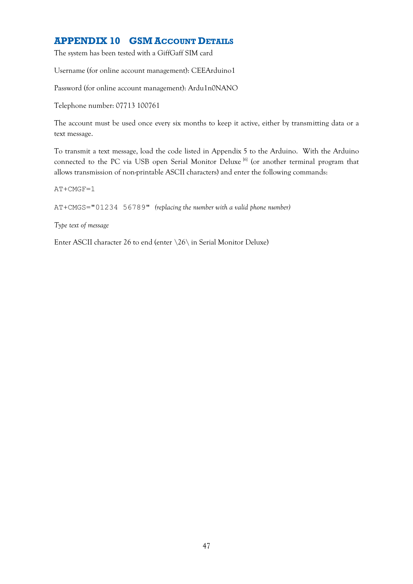## <span id="page-46-0"></span>**APPENDIX 10 GSM ACCOUNT DETAILS**

The system has been tested with a GiffGaff SIM card

Username (for online account management): CEEArduino1

Password (for online account management): Ardu1n0NANO

Telephone number: 07713 100761

The account must be used once every six months to keep it active, either by transmitting data or a text message.

To transmit a text message, load the code listed in Appendix 5 to the Arduino. With the Arduino connected to the PC via USB open Serial Monitor Deluxe<sup>[6]</sup> (or another terminal program that allows transmission of non-printable ASCII characters) and enter the following commands:

AT+CMGF=1

AT+CMGS="01234 56789" *(replacing the number with a valid phone number)*

*Type text of message*

Enter ASCII character 26 to end (enter \26\ in Serial Monitor Deluxe)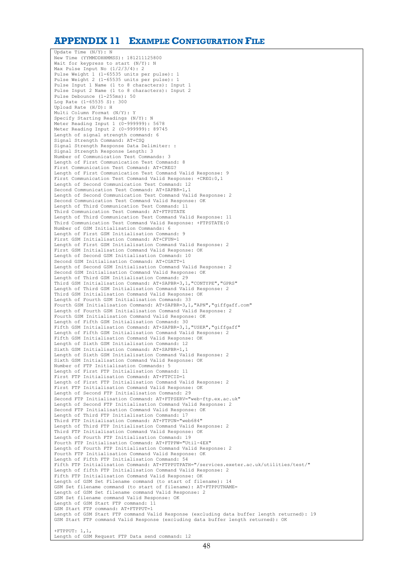### <span id="page-47-0"></span>**APPENDIX 11 EXAMPLE CONFIGURATION FILE**

Update Time (N/Y): N New Time (YYMMDDHHMMSS): 181211125800 Wait for keypress to start (N/Y): N Max Pulse Input No (1/2/3/4): 2 Pulse Weight 1 (1-65535 units per pulse): 1 Pulse Weight 2 (1-65535 units per pulse): 1 Pulse Input 1 Name (1 to 8 characters): Input 1 Pulse Input 2 Name (1 to 8 characters): Input 2 Pulse Debounce (1-255ms): 50 Log Rate  $(1-65535 S)$ : 300 Upload Rate (H/D): H Multi Column Format (N/Y): Y Specify Starting Readings (N/Y): N Meter Reading Input 1 (0-999999): 5678 Meter Reading Input 2 (0-999999): 89745 Length of signal strength command: 6 Signal Strength Command: AT+CSQ Signal Strength Response Data Delimiter: : Signal Strength Response Length: 3 Number of Communication Test Commands: 3 Length of First Communication Test Command: 8 First Communication Test Command: AT+CREG? Length of First Communication Test Command Valid Response: 9 First Communication Test Command Valid Response: +CREG:0,1 Length of Second Communication Test Command: 12 Second Communication Test Command: AT+SAPBR=1,1 Length of Second Communication Test Command Valid Response: 2 Second Communication Test Command Valid Response: OK Length of Third Communication Test Command: Third Communication Test Command: AT+FTPSTATE Length of Third Communication Test Command Valid Response: 11 Third Communication Test Command Valid Response: +FTPSTATE:0 Number of GSM Initialisation Commands: 6 Length of First GSM Initialisation Command: 9 First GSM Initialisation Command: AT+CFUN=1 Length of First GSM Initialisation Command Valid Response: 2 First GSM Initialisation Command Valid Response: OK Length of Second GSM Initialisation Command: 10 Second GSM Initialisation Command: AT+CGATT=1 Length of Second GSM Initialisation Command Valid Response: 2 Second GSM Initialisation Command Valid Response: OK Length of Third GSM Initialisation Command: 29 Third GSM Initialisation Command: AT+SAPBR=3,1,"CONTYPE","GPRS" Length of Third GSM Initialisation Command Valid Response: 2 Third GSM Initialisation Command Valid Response: OK Length of Fourth GSM Initialisation Command: 33 Fourth GSM Initialisation Command: AT+SAPBR=3,1,"APN","giffgaff.com" Length of Fourth GSM Initialisation Command Valid Response: 2 Fourth GSM Initialisation Command Valid Response: OK Length of Fifth GSM Initialisation Command: 30 Fifth GSM Initialisation Command: AT+SAPBR=3,1,"USER","giffgaff" Length of Fifth GSM Initialisation Command Valid Response: 2 Fifth GSM Initialisation Command Valid Response: OK Length of Sixth GSM Initialisation Command: 12 Sixth GSM Initialisation Command: AT+SAPBR=1,1 Length of Sixth GSM Initialisation Command Valid Response: 2 Sixth GSM Initialisation Command Valid Response: OK Number of FTP Initialisation Commands: 5 Length of First FTP Initialisation Command: 11 First FTP Initialisation Command: AT+FTPCID=1 Length of First FTP Initialisation Command Valid Response: 2 First FTP Initialisation Command Valid Response: OK Length of Second FTP Initialisation Command: 29 Second FTP Initialisation Command: AT+FTPSERV="web-ftp.ex.ac.uk" Length of Second FTP Initialisation Command Valid Response: 2 Second FTP Initialisation Command Valid Response: OK Length of Third FTP Initialisation Command: 17 Third FTP Initialisation Command: AT+FTPUN="web684" Length of Third FTP Initialisation Command Valid Response: 2 Third FTP Initialisation Command Valid Response: OK Length of Fourth FTP Initialisation Command: 19 Fourth FTP Initialisation Command: AT+FTPPW="Util-4EX" Length of Fourth FTP Initialisation Command Valid Response: 2 Fourth FTP Initialisation Command Valid Response: OK Length of Fifth FTP Initialisation Command: 54 Fifth FTP Initialisation Command: AT+FTPPUTPATH="/services.exeter.ac.uk/utilities/test/" Length of fifth FTP Initialisation Command Valid Response: 2 Fifth FTP Initialisation Command Valid Response: OK Length of GSM Set Filename command (to start of filename): 14 GSM Set filename command (to start of filename): AT+FTPPUTNAME= Length of GSM Set filename command Valid Response: 2 GSM Set filename command Valid Response: OK Length of GSM Start FTP command: 11 GSM Start FTP command: AT+FTPPUT=1 Length of GSM Start FTP command Valid Response (excluding data buffer length returned): 19 GSM Start FTP command Valid Response (excluding data buffer length returned): OK  $+$ FTPPUT: 1,1, Length of GSM Request FTP Data send command: 12